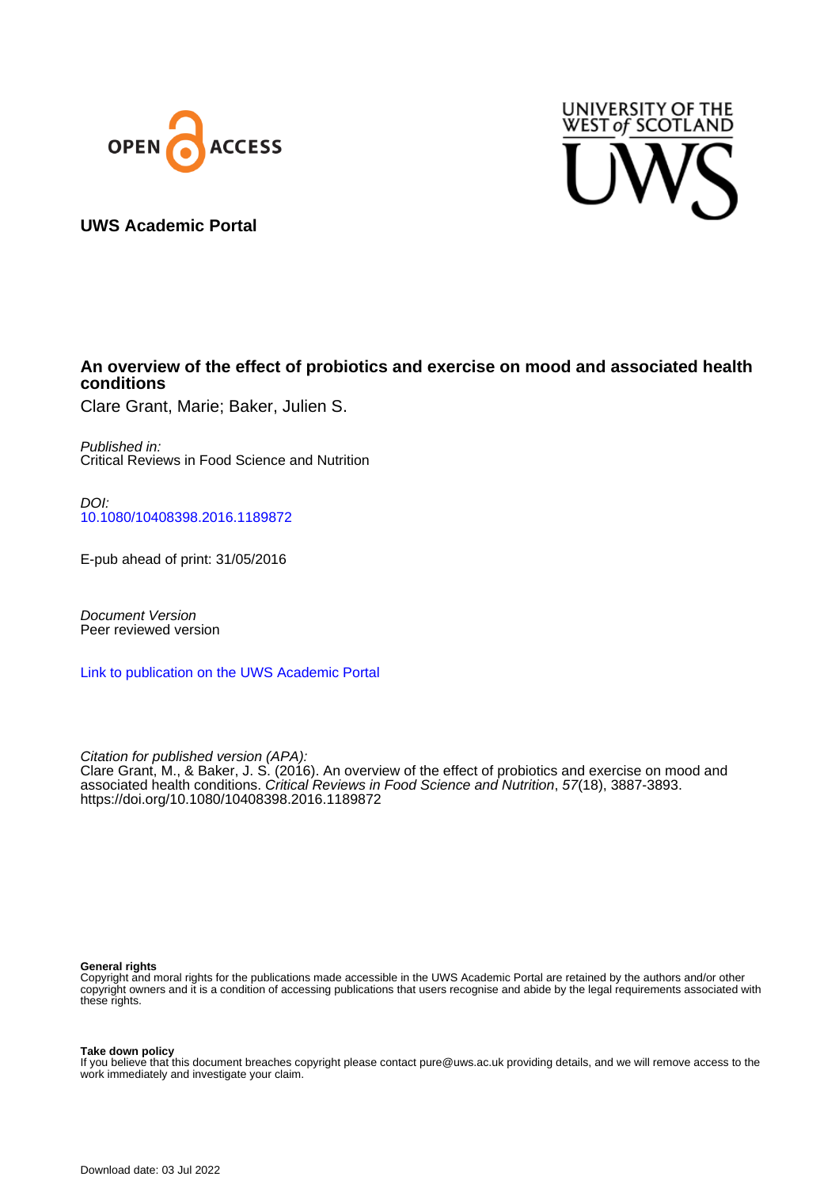



# **UWS Academic Portal**

# **An overview of the effect of probiotics and exercise on mood and associated health conditions**

Clare Grant, Marie; Baker, Julien S.

Published in: Critical Reviews in Food Science and Nutrition

DOI: [10.1080/10408398.2016.1189872](https://doi.org/10.1080/10408398.2016.1189872)

E-pub ahead of print: 31/05/2016

Document Version Peer reviewed version

[Link to publication on the UWS Academic Portal](https://uws.pure.elsevier.com/en/publications/2649b211-4845-451a-b4a0-c39c4ce9339c)

Citation for published version (APA): Clare Grant, M., & Baker, J. S. (2016). An overview of the effect of probiotics and exercise on mood and associated health conditions. Critical Reviews in Food Science and Nutrition, 57(18), 3887-3893. <https://doi.org/10.1080/10408398.2016.1189872>

#### **General rights**

Copyright and moral rights for the publications made accessible in the UWS Academic Portal are retained by the authors and/or other copyright owners and it is a condition of accessing publications that users recognise and abide by the legal requirements associated with these rights.

**Take down policy**

If you believe that this document breaches copyright please contact pure@uws.ac.uk providing details, and we will remove access to the work immediately and investigate your claim.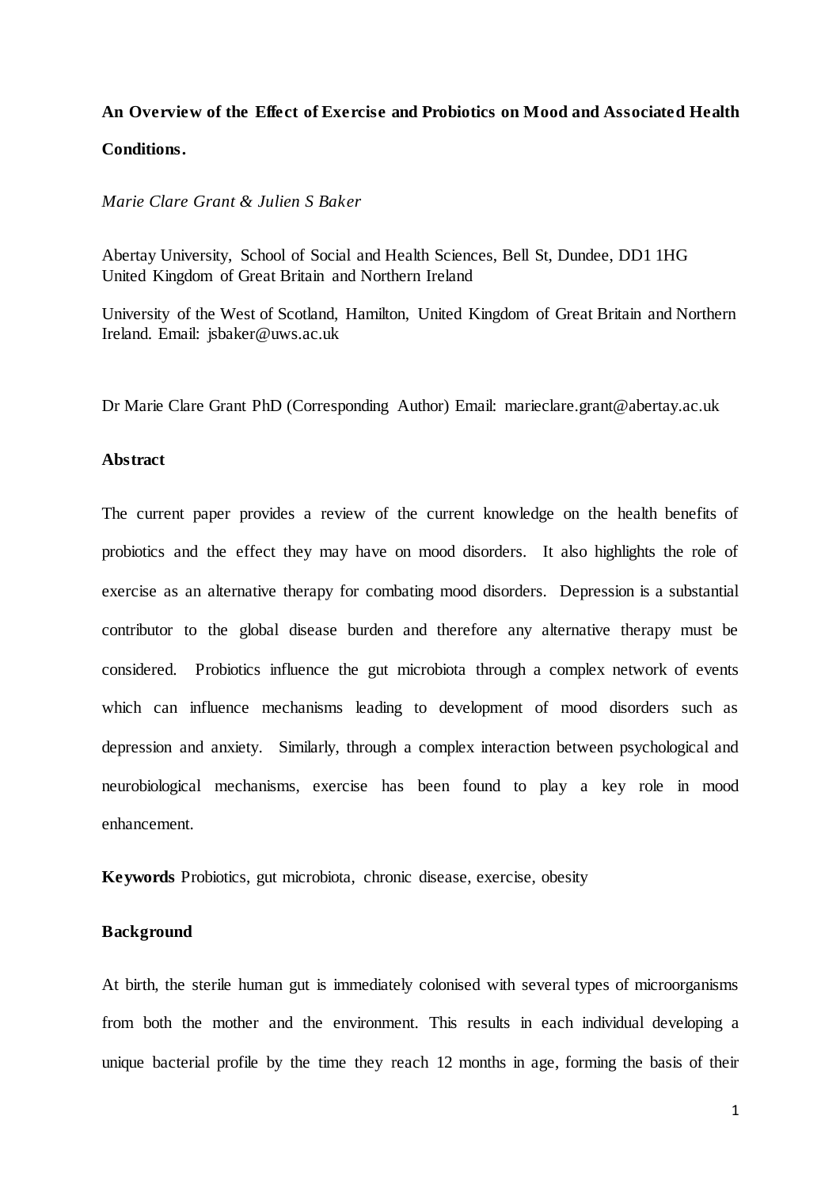# **An Overview of the Effect of Exercise and Probiotics on Mood and Associated Health Conditions.**

# *Marie Clare Grant & Julien S Baker*

Abertay University, School of Social and Health Sciences, Bell St, Dundee, DD1 1HG United Kingdom of Great Britain and Northern Ireland

University of the West of Scotland, Hamilton, United Kingdom of Great Britain and Northern Ireland. Email: jsbaker@uws.ac.uk

Dr Marie Clare Grant PhD (Corresponding Author) Email: marieclare.grant@abertay.ac.uk

# **Abstract**

The current paper provides a review of the current knowledge on the health benefits of probiotics and the effect they may have on mood disorders. It also highlights the role of exercise as an alternative therapy for combating mood disorders. Depression is a substantial contributor to the global disease burden and therefore any alternative therapy must be considered. Probiotics influence the gut microbiota through a complex network of events which can influence mechanisms leading to development of mood disorders such as depression and anxiety. Similarly, through a complex interaction between psychological and neurobiological mechanisms, exercise has been found to play a key role in mood enhancement.

**Keywords** Probiotics, gut microbiota, chronic disease, exercise, obesity

#### **Background**

At birth, the sterile human gut is immediately colonised with several types of microorganisms from both the mother and the environment. This results in each individual developing a unique bacterial profile by the time they reach 12 months in age, forming the basis of their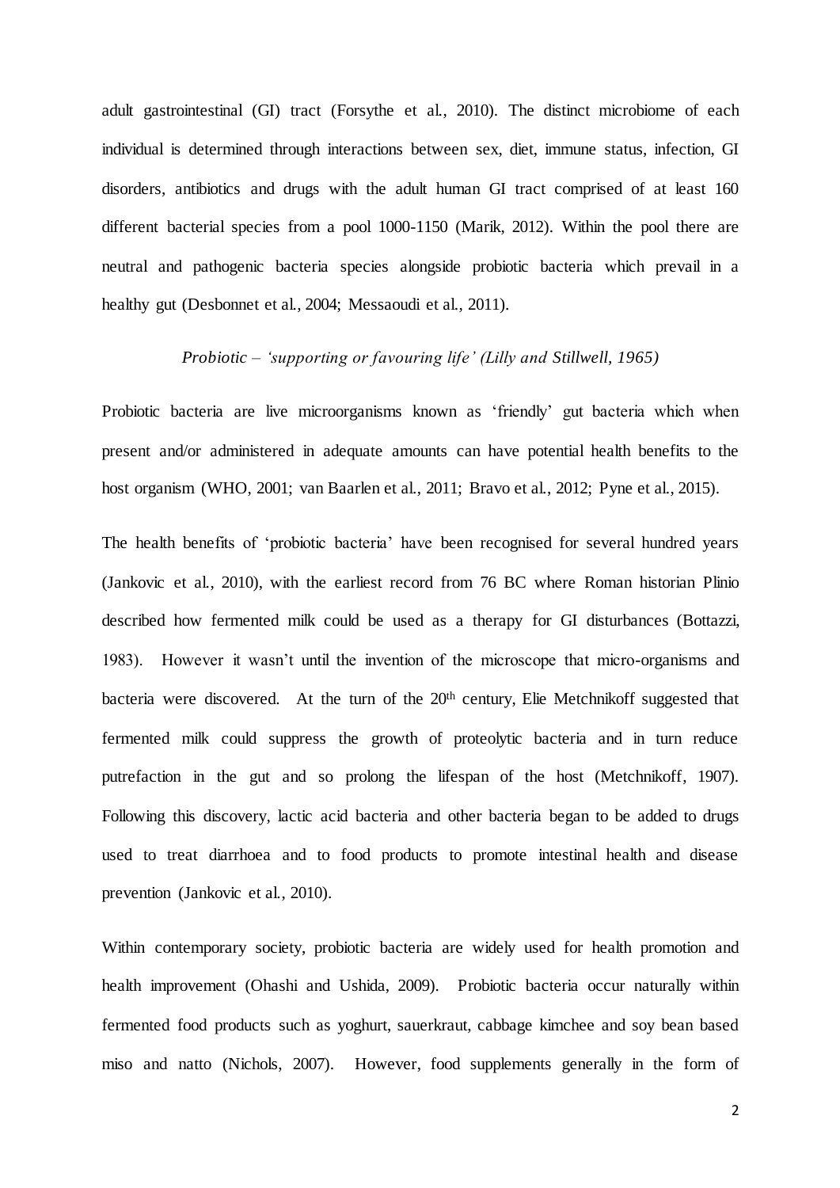adult gastrointestinal (GI) tract (Forsythe et al., 2010). The distinct microbiome of each individual is determined through interactions between sex, diet, immune status, infection, GI disorders, antibiotics and drugs with the adult human GI tract comprised of at least 160 different bacterial species from a pool 1000-1150 (Marik, 2012). Within the pool there are neutral and pathogenic bacteria species alongside probiotic bacteria which prevail in a healthy gut (Desbonnet et al., 2004; Messaoudi et al., 2011).

#### *Probiotic – 'supporting or favouring life' (Lilly and Stillwell, 1965)*

Probiotic bacteria are live microorganisms known as 'friendly' gut bacteria which when present and/or administered in adequate amounts can have potential health benefits to the host organism (WHO, 2001; van Baarlen et al., 2011; Bravo et al., 2012; Pyne et al., 2015).

The health benefits of 'probiotic bacteria' have been recognised for several hundred years (Jankovic et al., 2010), with the earliest record from 76 BC where Roman historian Plinio described how fermented milk could be used as a therapy for GI disturbances (Bottazzi, 1983). However it wasn't until the invention of the microscope that micro-organisms and bacteria were discovered. At the turn of the 20<sup>th</sup> century, Elie Metchnikoff suggested that fermented milk could suppress the growth of proteolytic bacteria and in turn reduce putrefaction in the gut and so prolong the lifespan of the host (Metchnikoff, 1907). Following this discovery, lactic acid bacteria and other bacteria began to be added to drugs used to treat diarrhoea and to food products to promote intestinal health and disease prevention (Jankovic et al., 2010).

Within contemporary society, probiotic bacteria are widely used for health promotion and health improvement (Ohashi and Ushida, 2009). Probiotic bacteria occur naturally within fermented food products such as yoghurt, sauerkraut, cabbage kimchee and soy bean based miso and natto (Nichols, 2007). However, food supplements generally in the form of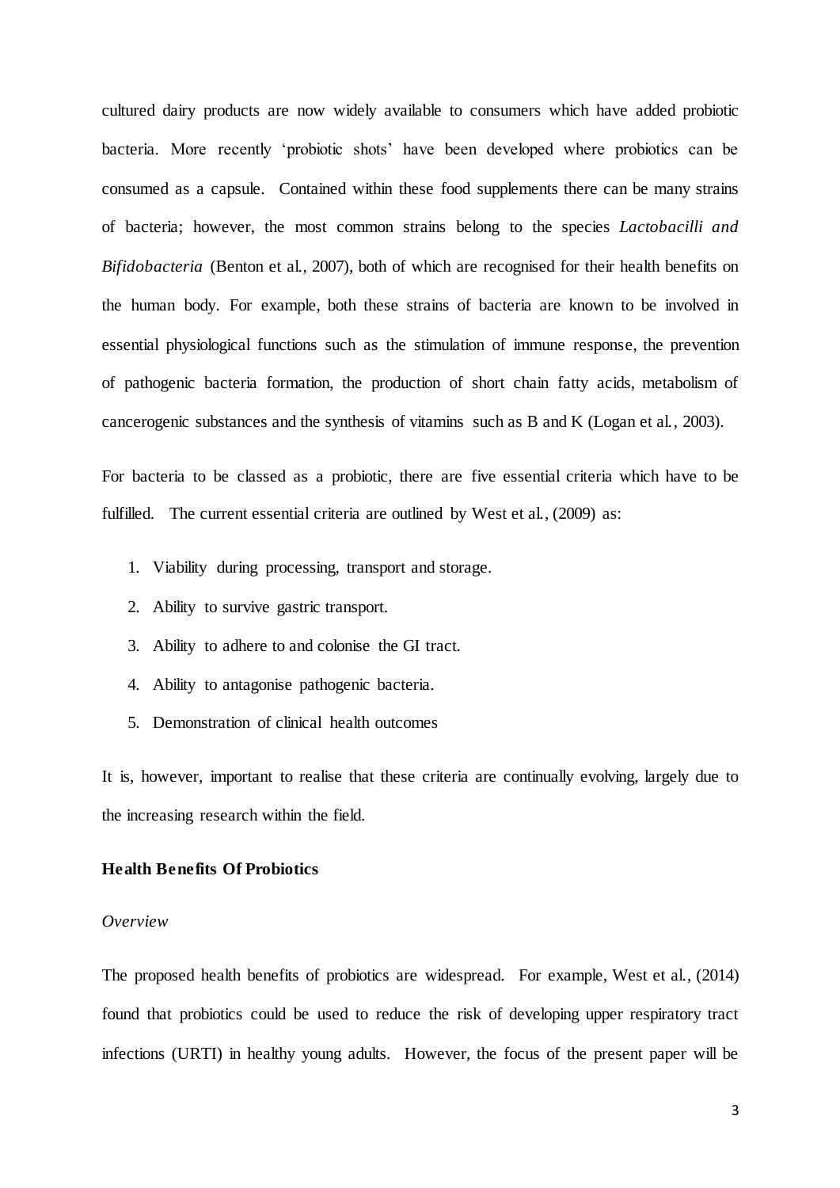cultured dairy products are now widely available to consumers which have added probiotic bacteria. More recently 'probiotic shots' have been developed where probiotics can be consumed as a capsule. Contained within these food supplements there can be many strains of bacteria; however, the most common strains belong to the species *Lactobacilli and Bifidobacteria* (Benton et al., 2007), both of which are recognised for their health benefits on the human body. For example, both these strains of bacteria are known to be involved in essential physiological functions such as the stimulation of immune response, the prevention of pathogenic bacteria formation, the production of short chain fatty acids, metabolism of cancerogenic substances and the synthesis of vitamins such as B and K (Logan et al., 2003).

For bacteria to be classed as a probiotic, there are five essential criteria which have to be fulfilled. The current essential criteria are outlined by West et al., (2009) as:

- 1. Viability during processing, transport and storage.
- 2. Ability to survive gastric transport.
- 3. Ability to adhere to and colonise the GI tract.
- 4. Ability to antagonise pathogenic bacteria.
- 5. Demonstration of clinical health outcomes

It is, however, important to realise that these criteria are continually evolving, largely due to the increasing research within the field.

#### **Health Benefits Of Probiotics**

#### *Overview*

The proposed health benefits of probiotics are widespread. For example, West et al., (2014) found that probiotics could be used to reduce the risk of developing upper respiratory tract infections (URTI) in healthy young adults. However, the focus of the present paper will be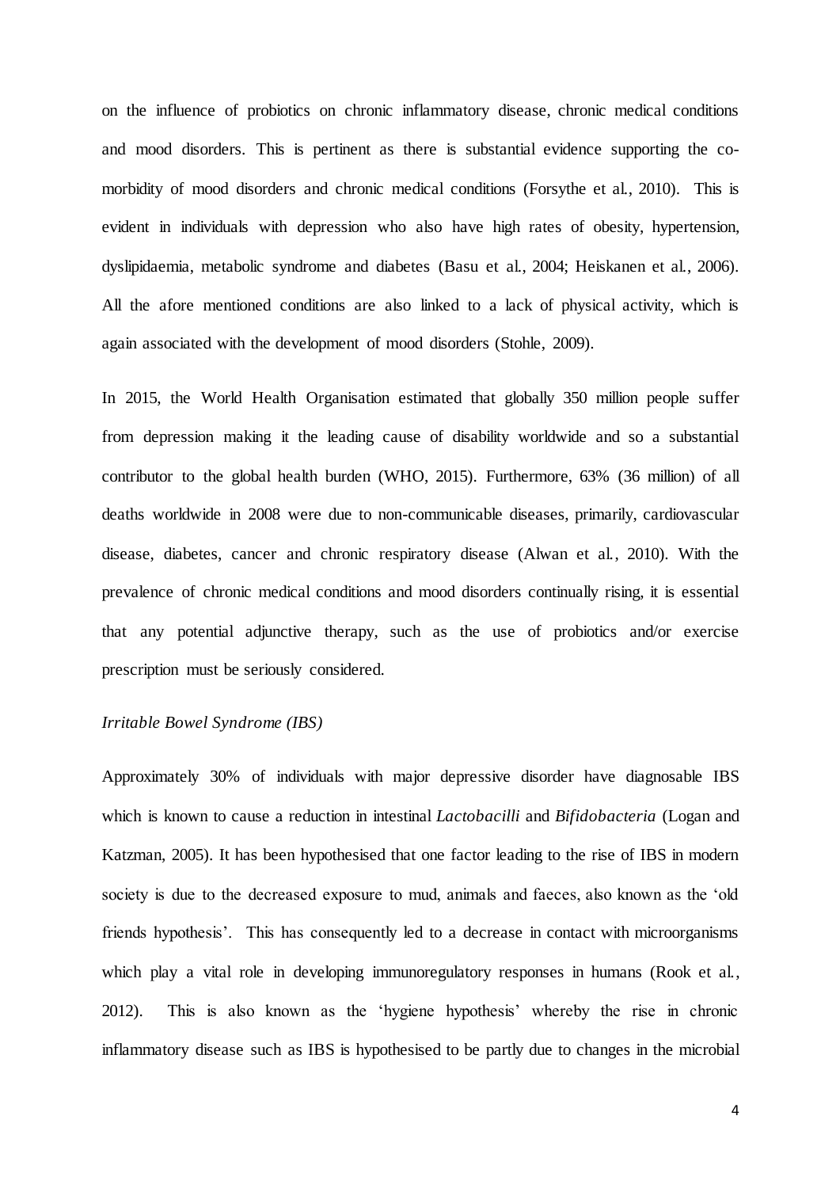on the influence of probiotics on chronic inflammatory disease, chronic medical conditions and mood disorders. This is pertinent as there is substantial evidence supporting the comorbidity of mood disorders and chronic medical conditions (Forsythe et al., 2010). This is evident in individuals with depression who also have high rates of obesity, hypertension, dyslipidaemia, metabolic syndrome and diabetes (Basu et al., 2004; Heiskanen et al., 2006). All the afore mentioned conditions are also linked to a lack of physical activity, which is again associated with the development of mood disorders (Stohle, 2009).

In 2015, the World Health Organisation estimated that globally 350 million people suffer from depression making it the leading cause of disability worldwide and so a substantial contributor to the global health burden (WHO, 2015). Furthermore, 63% (36 million) of all deaths worldwide in 2008 were due to non-communicable diseases, primarily, cardiovascular disease, diabetes, cancer and chronic respiratory disease (Alwan et al., 2010). With the prevalence of chronic medical conditions and mood disorders continually rising, it is essential that any potential adjunctive therapy, such as the use of probiotics and/or exercise prescription must be seriously considered.

# *Irritable Bowel Syndrome (IBS)*

Approximately 30% of individuals with major depressive disorder have diagnosable IBS which is known to cause a reduction in intestinal *Lactobacilli* and *Bifidobacteria* (Logan and Katzman, 2005). It has been hypothesised that one factor leading to the rise of IBS in modern society is due to the decreased exposure to mud, animals and faeces, also known as the 'old friends hypothesis'. This has consequently led to a decrease in contact with microorganisms which play a vital role in developing immunoregulatory responses in humans (Rook et al., 2012). This is also known as the 'hygiene hypothesis' whereby the rise in chronic inflammatory disease such as IBS is hypothesised to be partly due to changes in the microbial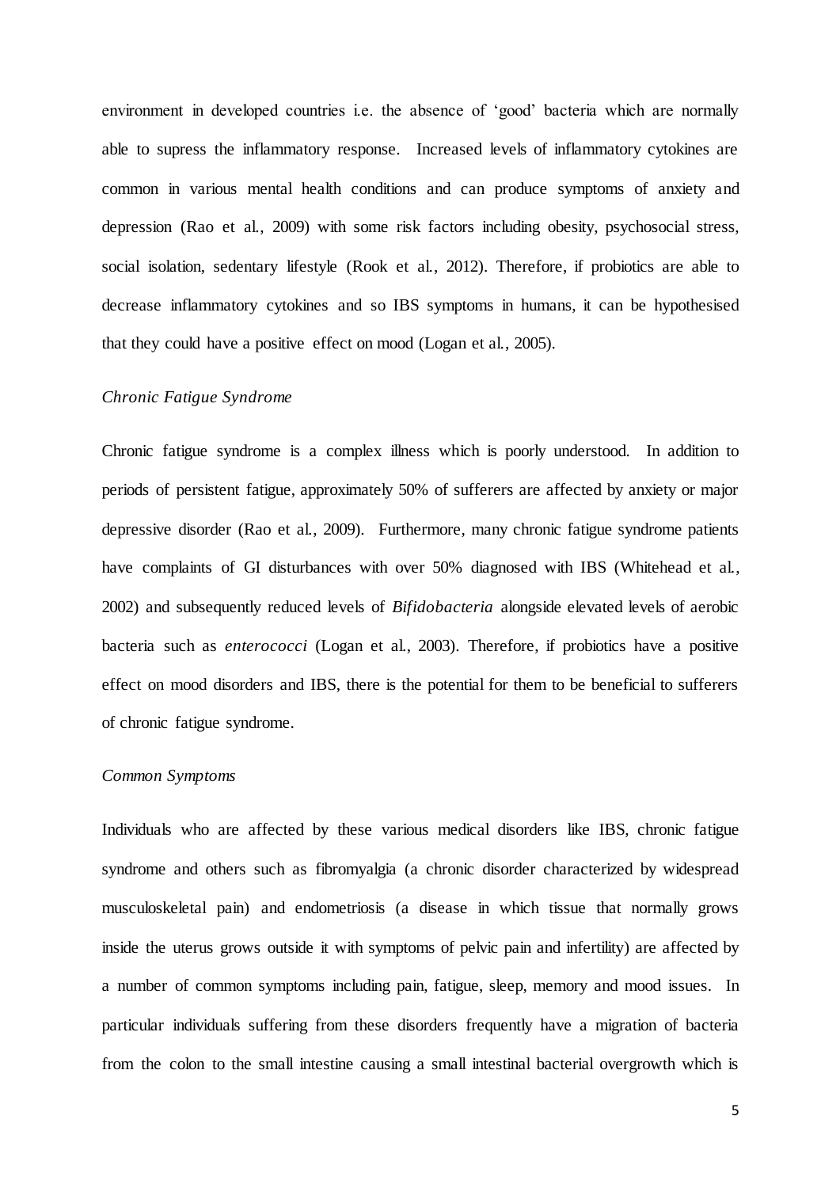environment in developed countries i.e. the absence of 'good' bacteria which are normally able to supress the inflammatory response. Increased levels of inflammatory cytokines are common in various mental health conditions and can produce symptoms of anxiety and depression (Rao et al., 2009) with some risk factors including obesity, psychosocial stress, social isolation, sedentary lifestyle (Rook et al., 2012). Therefore, if probiotics are able to decrease inflammatory cytokines and so IBS symptoms in humans, it can be hypothesised that they could have a positive effect on mood (Logan et al., 2005).

# *Chronic Fatigue Syndrome*

Chronic fatigue syndrome is a complex illness which is poorly understood. In addition to periods of persistent fatigue, approximately 50% of sufferers are affected by anxiety or major depressive disorder (Rao et al., 2009). Furthermore, many chronic fatigue syndrome patients have complaints of GI disturbances with over 50% diagnosed with IBS (Whitehead et al., 2002) and subsequently reduced levels of *Bifidobacteria* alongside elevated levels of aerobic bacteria such as *enterococci* (Logan et al., 2003). Therefore, if probiotics have a positive effect on mood disorders and IBS, there is the potential for them to be beneficial to sufferers of chronic fatigue syndrome.

# *Common Symptoms*

Individuals who are affected by these various medical disorders like IBS, chronic fatigue syndrome and others such as fibromyalgia (a chronic disorder characterized by widespread musculoskeletal pain) and endometriosis (a disease in which tissue that normally grows inside the uterus grows outside it with symptoms of pelvic pain and infertility) are affected by a number of common symptoms including pain, fatigue, sleep, memory and mood issues. In particular individuals suffering from these disorders frequently have a migration of bacteria from the colon to the small intestine causing a small intestinal bacterial overgrowth which is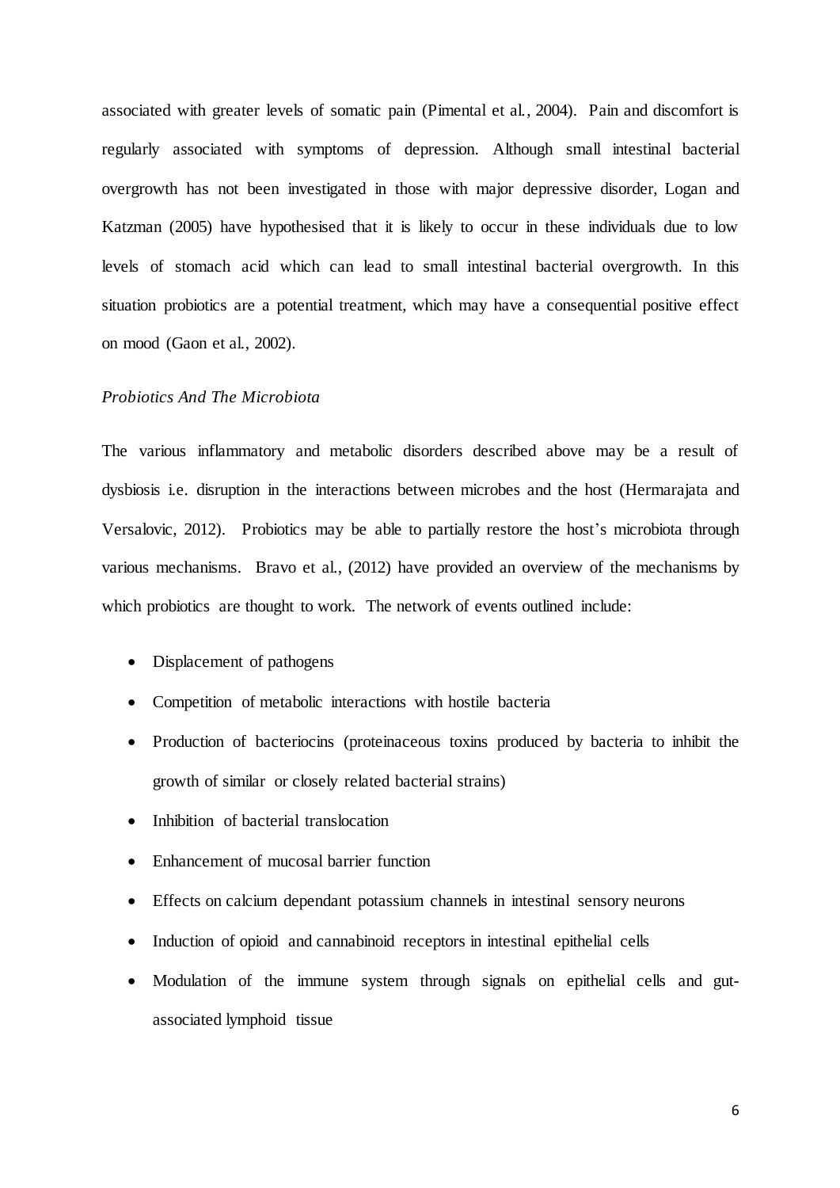associated with greater levels of somatic pain (Pimental et al., 2004). Pain and discomfort is regularly associated with symptoms of depression. Although small intestinal bacterial overgrowth has not been investigated in those with major depressive disorder, Logan and Katzman (2005) have hypothesised that it is likely to occur in these individuals due to low levels of stomach acid which can lead to small intestinal bacterial overgrowth. In this situation probiotics are a potential treatment, which may have a consequential positive effect on mood (Gaon et al., 2002).

# *Probiotics And The Microbiota*

The various inflammatory and metabolic disorders described above may be a result of dysbiosis i.e. disruption in the interactions between microbes and the host (Hermarajata and Versalovic, 2012). Probiotics may be able to partially restore the host's microbiota through various mechanisms. Bravo et al., (2012) have provided an overview of the mechanisms by which probiotics are thought to work. The network of events outlined include:

- Displacement of pathogens
- Competition of metabolic interactions with hostile bacteria
- Production of bacteriocins (proteinaceous toxins produced by bacteria to inhibit the growth of similar or closely related bacterial strains)
- Inhibition of bacterial translocation
- Enhancement of mucosal barrier function
- Effects on calcium dependant potassium channels in intestinal sensory neurons
- Induction of opioid and cannabinoid receptors in intestinal epithelial cells
- Modulation of the immune system through signals on epithelial cells and gutassociated lymphoid tissue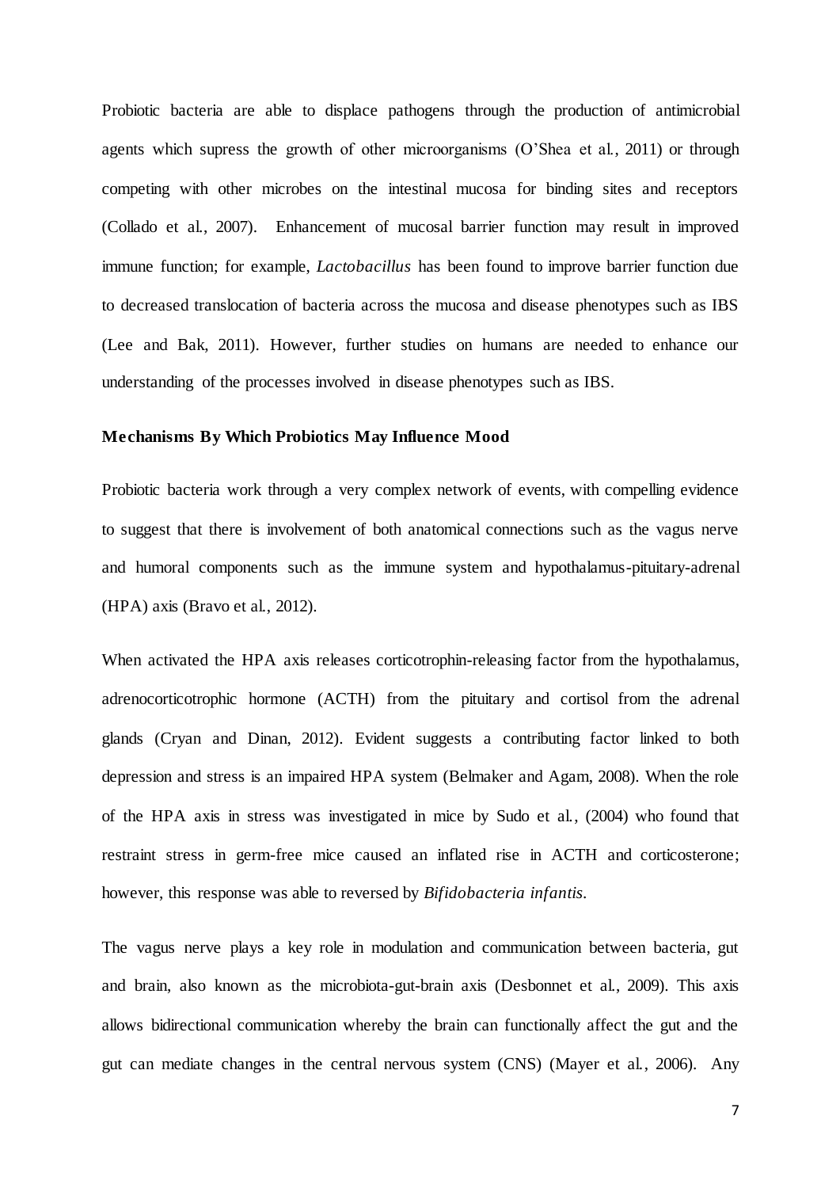Probiotic bacteria are able to displace pathogens through the production of antimicrobial agents which supress the growth of other microorganisms (O'Shea et al., 2011) or through competing with other microbes on the intestinal mucosa for binding sites and receptors (Collado et al., 2007). Enhancement of mucosal barrier function may result in improved immune function; for example, *Lactobacillus* has been found to improve barrier function due to decreased translocation of bacteria across the mucosa and disease phenotypes such as IBS (Lee and Bak, 2011). However, further studies on humans are needed to enhance our understanding of the processes involved in disease phenotypes such as IBS.

#### **Mechanisms By Which Probiotics May Influence Mood**

Probiotic bacteria work through a very complex network of events, with compelling evidence to suggest that there is involvement of both anatomical connections such as the vagus nerve and humoral components such as the immune system and hypothalamus-pituitary-adrenal (HPA) axis (Bravo et al., 2012).

When activated the HPA axis releases corticotrophin-releasing factor from the hypothalamus, adrenocorticotrophic hormone (ACTH) from the pituitary and cortisol from the adrenal glands (Cryan and Dinan, 2012). Evident suggests a contributing factor linked to both depression and stress is an impaired HPA system (Belmaker and Agam, 2008). When the role of the HPA axis in stress was investigated in mice by Sudo et al., (2004) who found that restraint stress in germ-free mice caused an inflated rise in ACTH and corticosterone; however, this response was able to reversed by *Bifidobacteria infantis.*

The vagus nerve plays a key role in modulation and communication between bacteria, gut and brain, also known as the microbiota-gut-brain axis (Desbonnet et al., 2009). This axis allows bidirectional communication whereby the brain can functionally affect the gut and the gut can mediate changes in the central nervous system (CNS) (Mayer et al., 2006). Any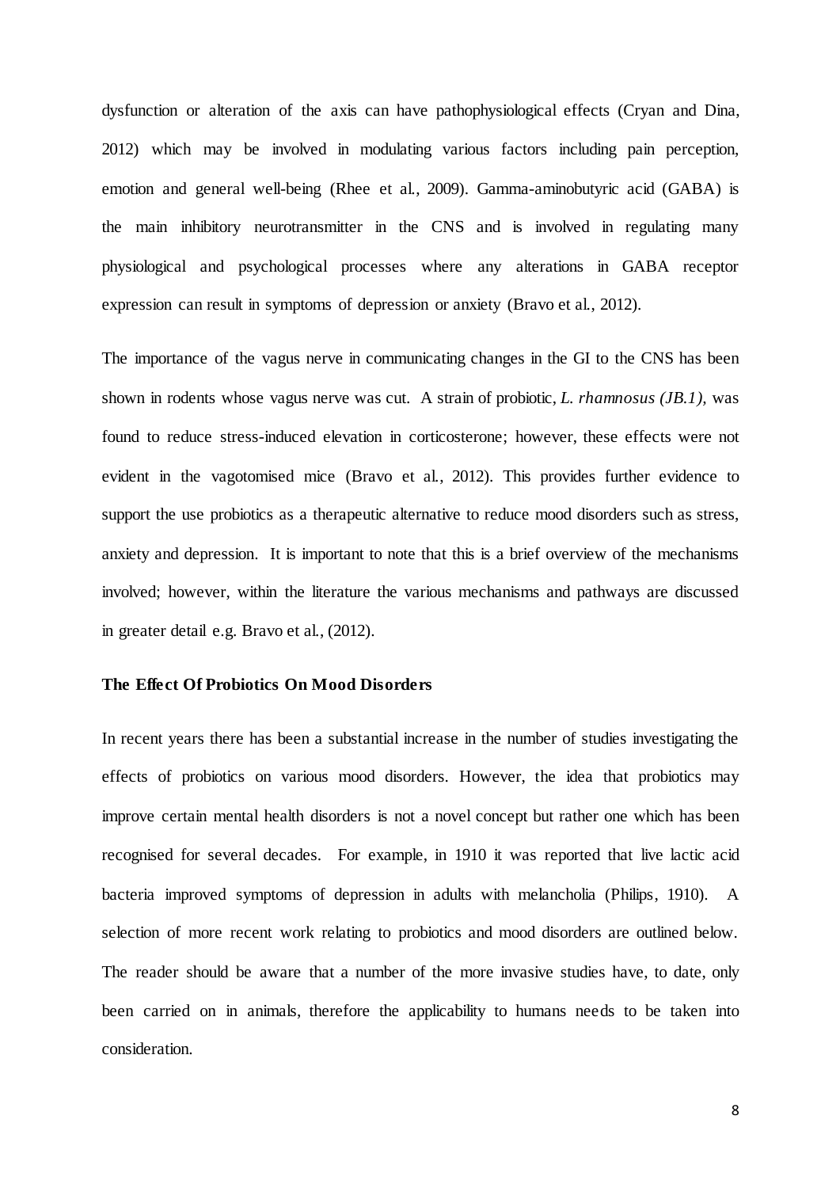dysfunction or alteration of the axis can have pathophysiological effects (Cryan and Dina, 2012) which may be involved in modulating various factors including pain perception, emotion and general well-being (Rhee et al., 2009). Gamma-aminobutyric acid (GABA) is the main inhibitory neurotransmitter in the CNS and is involved in regulating many physiological and psychological processes where any alterations in GABA receptor expression can result in symptoms of depression or anxiety (Bravo et al., 2012).

The importance of the vagus nerve in communicating changes in the GI to the CNS has been shown in rodents whose vagus nerve was cut. A strain of probiotic, *L. rhamnosus (JB.1),* was found to reduce stress-induced elevation in corticosterone; however, these effects were not evident in the vagotomised mice (Bravo et al., 2012). This provides further evidence to support the use probiotics as a therapeutic alternative to reduce mood disorders such as stress, anxiety and depression. It is important to note that this is a brief overview of the mechanisms involved; however, within the literature the various mechanisms and pathways are discussed in greater detail e.g. Bravo et al., (2012).

# **The Effect Of Probiotics On Mood Disorders**

In recent years there has been a substantial increase in the number of studies investigating the effects of probiotics on various mood disorders. However, the idea that probiotics may improve certain mental health disorders is not a novel concept but rather one which has been recognised for several decades. For example, in 1910 it was reported that live lactic acid bacteria improved symptoms of depression in adults with melancholia (Philips, 1910). A selection of more recent work relating to probiotics and mood disorders are outlined below. The reader should be aware that a number of the more invasive studies have, to date, only been carried on in animals, therefore the applicability to humans needs to be taken into consideration.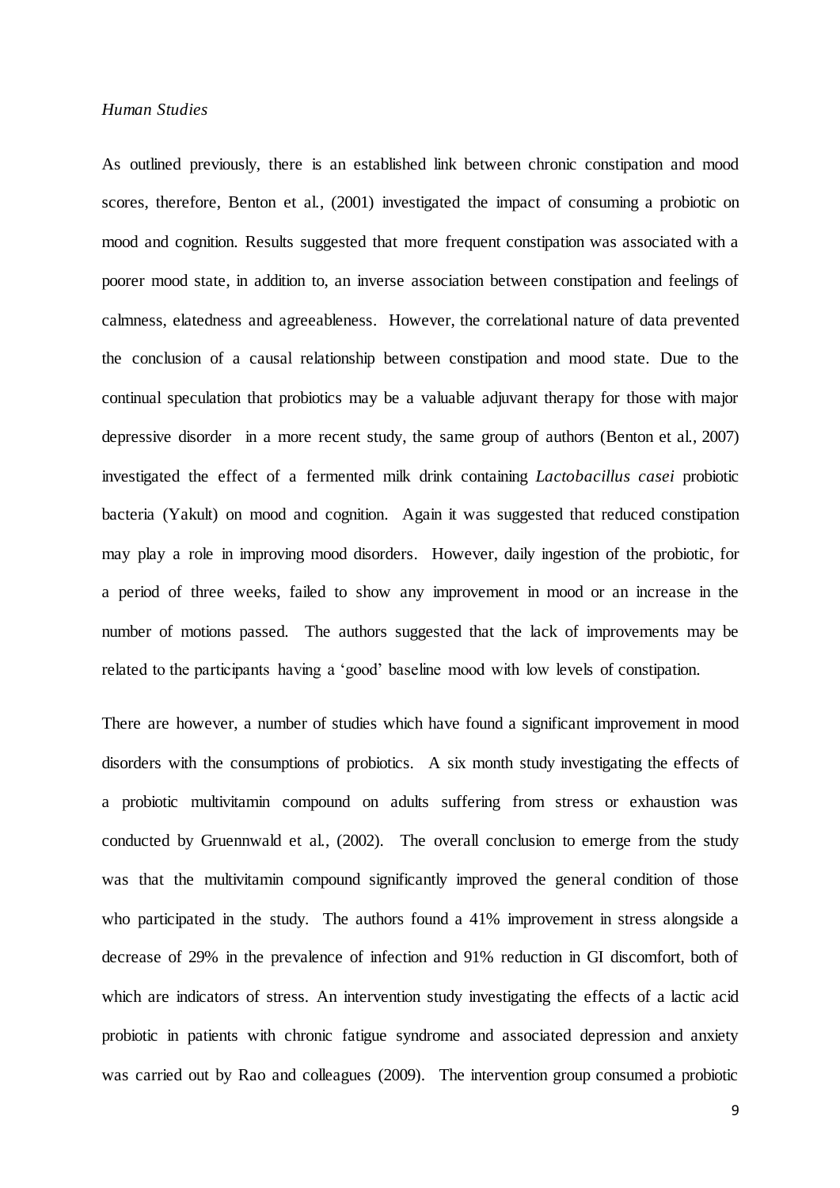### *Human Studies*

As outlined previously, there is an established link between chronic constipation and mood scores, therefore, Benton et al., (2001) investigated the impact of consuming a probiotic on mood and cognition. Results suggested that more frequent constipation was associated with a poorer mood state, in addition to, an inverse association between constipation and feelings of calmness, elatedness and agreeableness. However, the correlational nature of data prevented the conclusion of a causal relationship between constipation and mood state. Due to the continual speculation that probiotics may be a valuable adjuvant therapy for those with major depressive disorder in a more recent study, the same group of authors (Benton et al., 2007) investigated the effect of a fermented milk drink containing *Lactobacillus casei* probiotic bacteria (Yakult) on mood and cognition. Again it was suggested that reduced constipation may play a role in improving mood disorders. However, daily ingestion of the probiotic, for a period of three weeks, failed to show any improvement in mood or an increase in the number of motions passed. The authors suggested that the lack of improvements may be related to the participants having a 'good' baseline mood with low levels of constipation.

There are however, a number of studies which have found a significant improvement in mood disorders with the consumptions of probiotics. A six month study investigating the effects of a probiotic multivitamin compound on adults suffering from stress or exhaustion was conducted by Gruennwald et al., (2002). The overall conclusion to emerge from the study was that the multivitamin compound significantly improved the general condition of those who participated in the study. The authors found a 41% improvement in stress alongside a decrease of 29% in the prevalence of infection and 91% reduction in GI discomfort, both of which are indicators of stress. An intervention study investigating the effects of a lactic acid probiotic in patients with chronic fatigue syndrome and associated depression and anxiety was carried out by Rao and colleagues (2009). The intervention group consumed a probiotic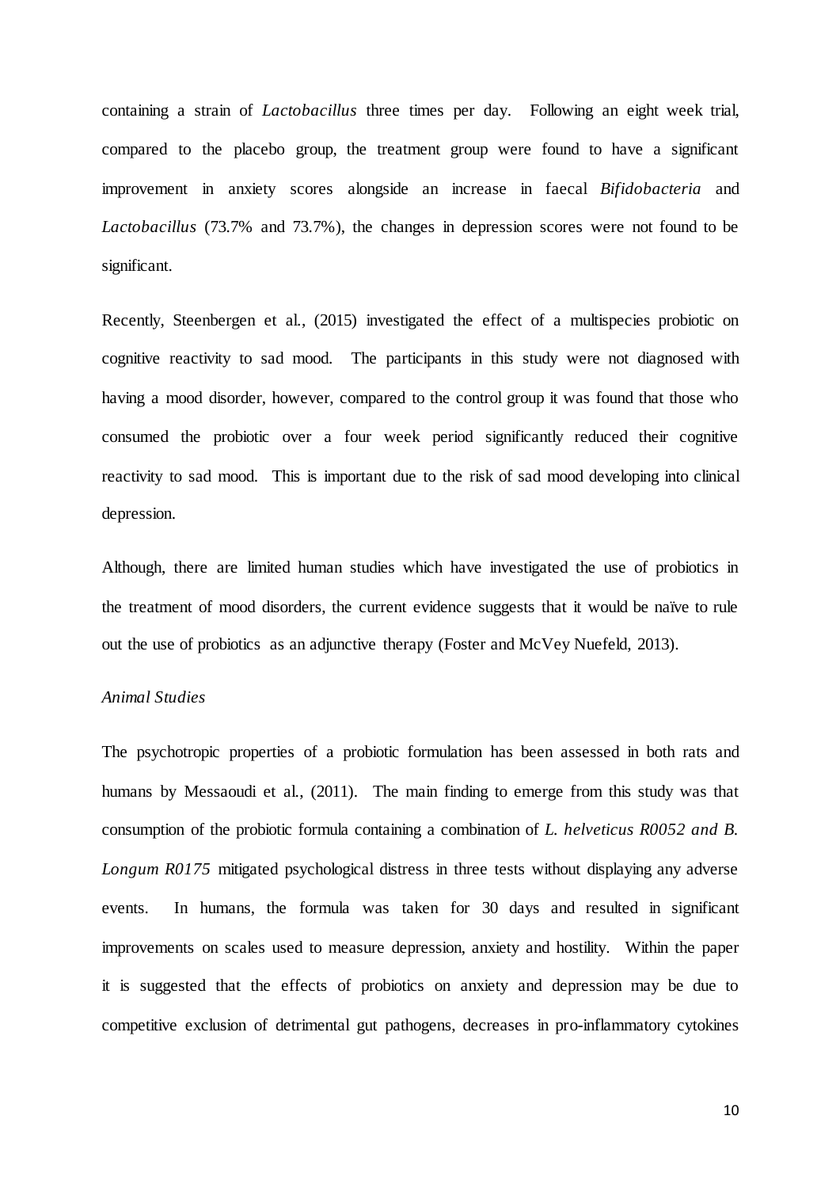containing a strain of *Lactobacillus* three times per day. Following an eight week trial, compared to the placebo group, the treatment group were found to have a significant improvement in anxiety scores alongside an increase in faecal *Bifidobacteria* and *Lactobacillus* (73.7% and 73.7%), the changes in depression scores were not found to be significant.

Recently, Steenbergen et al., (2015) investigated the effect of a multispecies probiotic on cognitive reactivity to sad mood. The participants in this study were not diagnosed with having a mood disorder, however, compared to the control group it was found that those who consumed the probiotic over a four week period significantly reduced their cognitive reactivity to sad mood. This is important due to the risk of sad mood developing into clinical depression.

Although, there are limited human studies which have investigated the use of probiotics in the treatment of mood disorders, the current evidence suggests that it would be naïve to rule out the use of probiotics as an adjunctive therapy (Foster and McVey Nuefeld, 2013).

# *Animal Studies*

The psychotropic properties of a probiotic formulation has been assessed in both rats and humans by Messaoudi et al., (2011). The main finding to emerge from this study was that consumption of the probiotic formula containing a combination of *L. helveticus R0052 and B. Longum R0175* mitigated psychological distress in three tests without displaying any adverse events. In humans, the formula was taken for 30 days and resulted in significant improvements on scales used to measure depression, anxiety and hostility. Within the paper it is suggested that the effects of probiotics on anxiety and depression may be due to competitive exclusion of detrimental gut pathogens, decreases in pro-inflammatory cytokines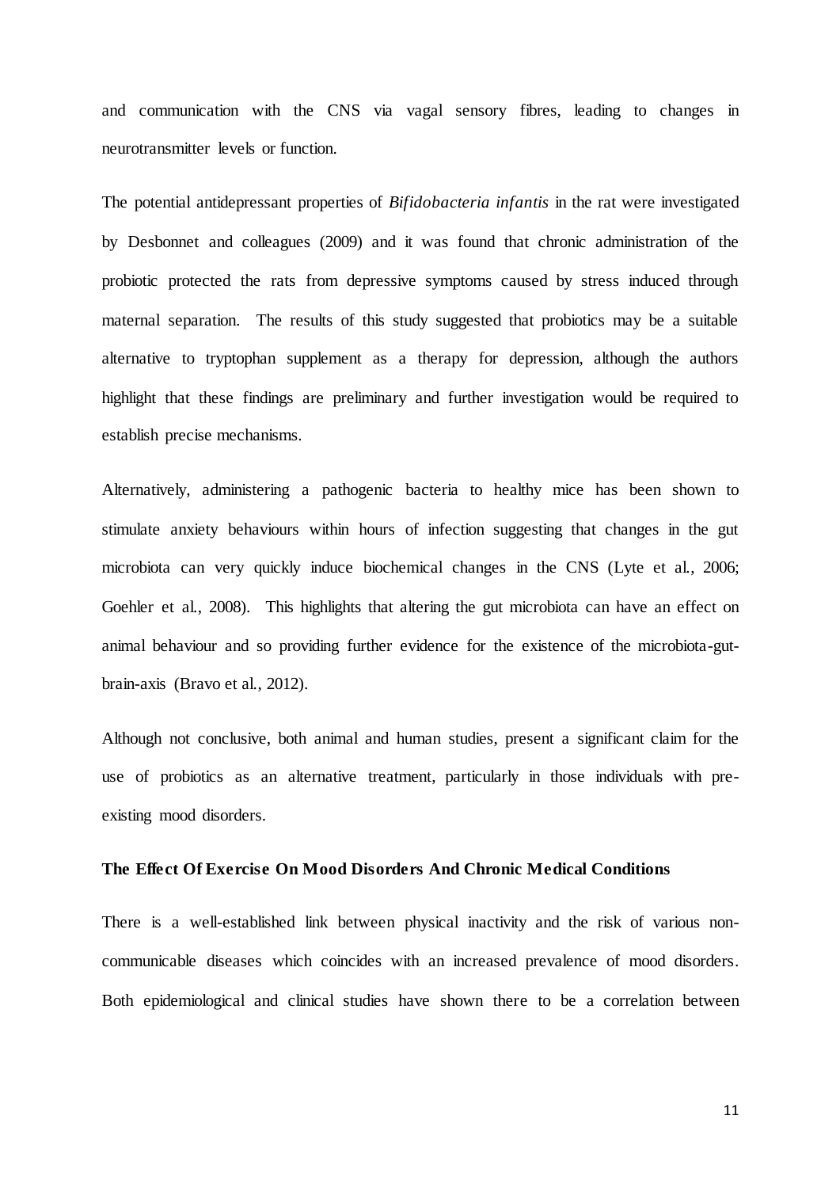and communication with the CNS via vagal sensory fibres, leading to changes in neurotransmitter levels or function.

The potential antidepressant properties of *Bifidobacteria infantis* in the rat were investigated by Desbonnet and colleagues (2009) and it was found that chronic administration of the probiotic protected the rats from depressive symptoms caused by stress induced through maternal separation. The results of this study suggested that probiotics may be a suitable alternative to tryptophan supplement as a therapy for depression, although the authors highlight that these findings are preliminary and further investigation would be required to establish precise mechanisms.

Alternatively, administering a pathogenic bacteria to healthy mice has been shown to stimulate anxiety behaviours within hours of infection suggesting that changes in the gut microbiota can very quickly induce biochemical changes in the CNS (Lyte et al., 2006; Goehler et al., 2008). This highlights that altering the gut microbiota can have an effect on animal behaviour and so providing further evidence for the existence of the microbiota-gutbrain-axis (Bravo et al., 2012).

Although not conclusive, both animal and human studies, present a significant claim for the use of probiotics as an alternative treatment, particularly in those individuals with preexisting mood disorders.

#### **The Effect Of Exercise On Mood Disorders And Chronic Medical Conditions**

There is a well-established link between physical inactivity and the risk of various noncommunicable diseases which coincides with an increased prevalence of mood disorders. Both epidemiological and clinical studies have shown there to be a correlation between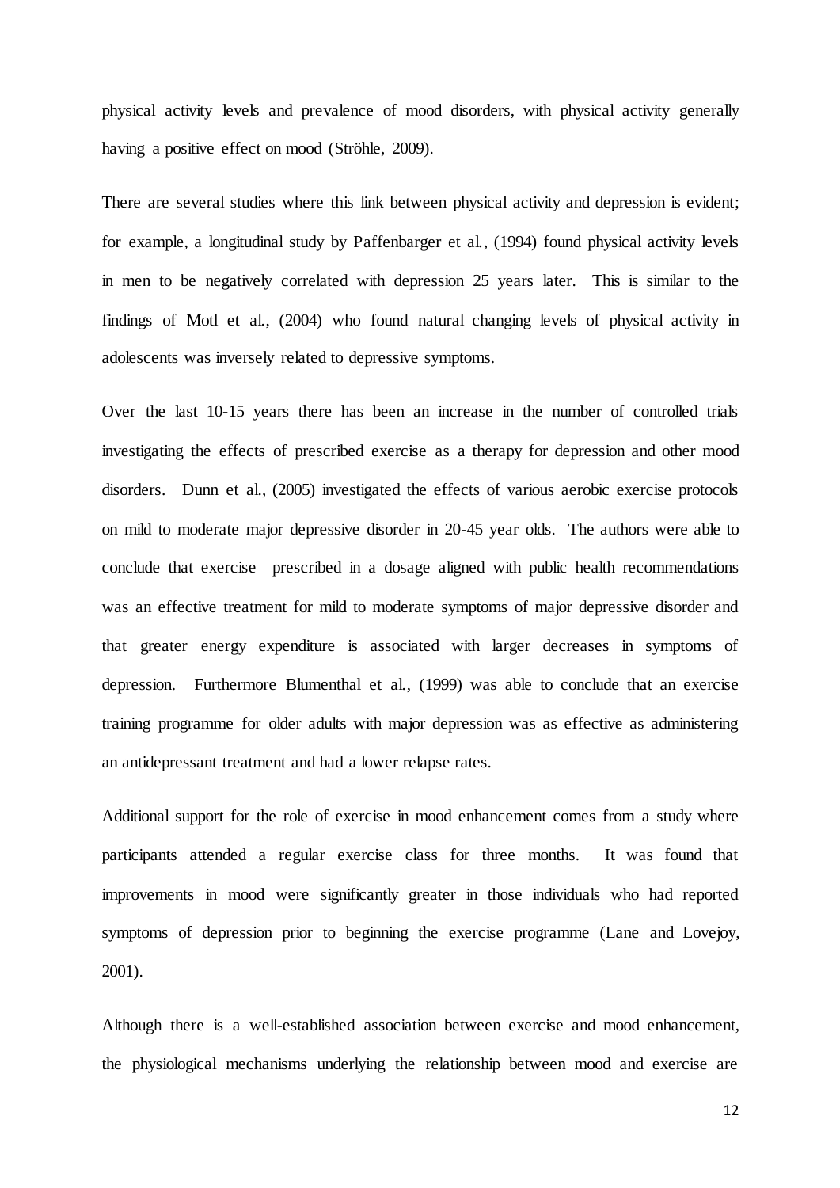physical activity levels and prevalence of mood disorders, with physical activity generally having a positive effect on mood (Ströhle, 2009).

There are several studies where this link between physical activity and depression is evident; for example, a longitudinal study by Paffenbarger et al., (1994) found physical activity levels in men to be negatively correlated with depression 25 years later. This is similar to the findings of Motl et al., (2004) who found natural changing levels of physical activity in adolescents was inversely related to depressive symptoms.

Over the last 10-15 years there has been an increase in the number of controlled trials investigating the effects of prescribed exercise as a therapy for depression and other mood disorders. Dunn et al., (2005) investigated the effects of various aerobic exercise protocols on mild to moderate major depressive disorder in 20-45 year olds. The authors were able to conclude that exercise prescribed in a dosage aligned with public health recommendations was an effective treatment for mild to moderate symptoms of major depressive disorder and that greater energy expenditure is associated with larger decreases in symptoms of depression. Furthermore Blumenthal et al., (1999) was able to conclude that an exercise training programme for older adults with major depression was as effective as administering an antidepressant treatment and had a lower relapse rates.

Additional support for the role of exercise in mood enhancement comes from a study where participants attended a regular exercise class for three months. It was found that improvements in mood were significantly greater in those individuals who had reported symptoms of depression prior to beginning the exercise programme (Lane and Lovejoy, 2001).

Although there is a well-established association between exercise and mood enhancement, the physiological mechanisms underlying the relationship between mood and exercise are

12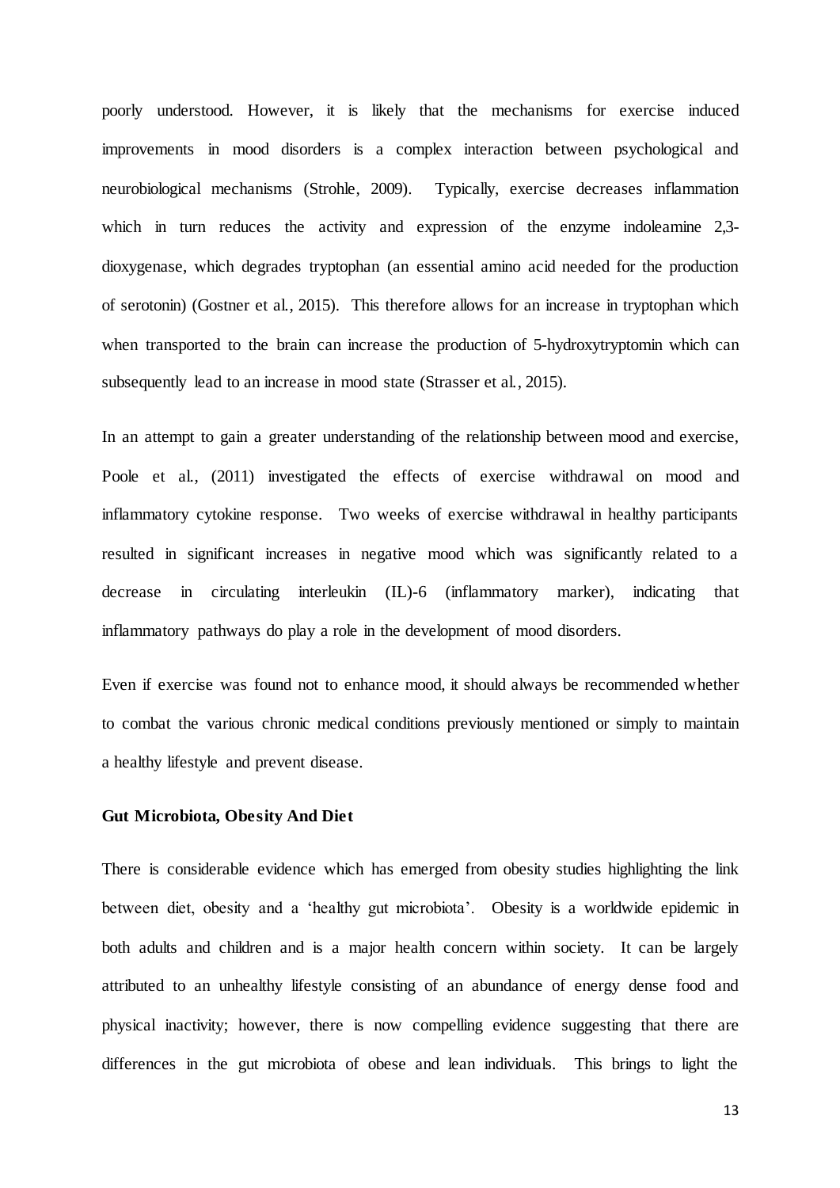poorly understood. However, it is likely that the mechanisms for exercise induced improvements in mood disorders is a complex interaction between psychological and neurobiological mechanisms (Strohle, 2009). Typically, exercise decreases inflammation which in turn reduces the activity and expression of the enzyme indoleamine 2,3dioxygenase, which degrades tryptophan (an essential amino acid needed for the production of serotonin) (Gostner et al., 2015). This therefore allows for an increase in tryptophan which when transported to the brain can increase the production of 5-hydroxytryptomin which can subsequently lead to an increase in mood state (Strasser et al., 2015).

In an attempt to gain a greater understanding of the relationship between mood and exercise, Poole et al., (2011) investigated the effects of exercise withdrawal on mood and inflammatory cytokine response. Two weeks of exercise withdrawal in healthy participants resulted in significant increases in negative mood which was significantly related to a decrease in circulating interleukin (IL)-6 (inflammatory marker), indicating that inflammatory pathways do play a role in the development of mood disorders.

Even if exercise was found not to enhance mood, it should always be recommended whether to combat the various chronic medical conditions previously mentioned or simply to maintain a healthy lifestyle and prevent disease.

#### **Gut Microbiota, Obesity And Diet**

There is considerable evidence which has emerged from obesity studies highlighting the link between diet, obesity and a 'healthy gut microbiota'. Obesity is a worldwide epidemic in both adults and children and is a major health concern within society. It can be largely attributed to an unhealthy lifestyle consisting of an abundance of energy dense food and physical inactivity; however, there is now compelling evidence suggesting that there are differences in the gut microbiota of obese and lean individuals. This brings to light the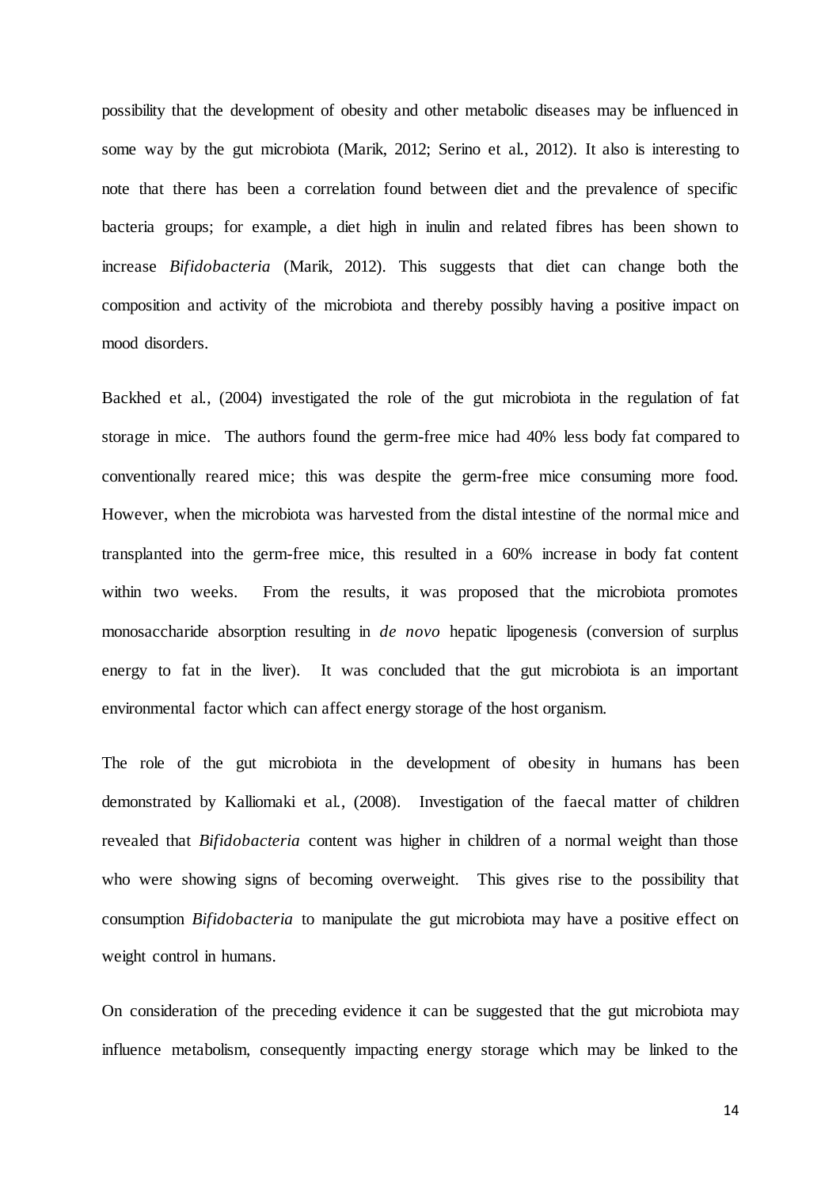possibility that the development of obesity and other metabolic diseases may be influenced in some way by the gut microbiota (Marik, 2012; Serino et al., 2012). It also is interesting to note that there has been a correlation found between diet and the prevalence of specific bacteria groups; for example, a diet high in inulin and related fibres has been shown to increase *Bifidobacteria* (Marik, 2012). This suggests that diet can change both the composition and activity of the microbiota and thereby possibly having a positive impact on mood disorders.

Backhed et al., (2004) investigated the role of the gut microbiota in the regulation of fat storage in mice. The authors found the germ-free mice had 40% less body fat compared to conventionally reared mice; this was despite the germ-free mice consuming more food. However, when the microbiota was harvested from the distal intestine of the normal mice and transplanted into the germ-free mice, this resulted in a 60% increase in body fat content within two weeks. From the results, it was proposed that the microbiota promotes monosaccharide absorption resulting in *de novo* hepatic lipogenesis (conversion of surplus energy to fat in the liver). It was concluded that the gut microbiota is an important environmental factor which can affect energy storage of the host organism.

The role of the gut microbiota in the development of obesity in humans has been demonstrated by Kalliomaki et al., (2008). Investigation of the faecal matter of children revealed that *Bifidobacteria* content was higher in children of a normal weight than those who were showing signs of becoming overweight. This gives rise to the possibility that consumption *Bifidobacteria* to manipulate the gut microbiota may have a positive effect on weight control in humans.

On consideration of the preceding evidence it can be suggested that the gut microbiota may influence metabolism, consequently impacting energy storage which may be linked to the

14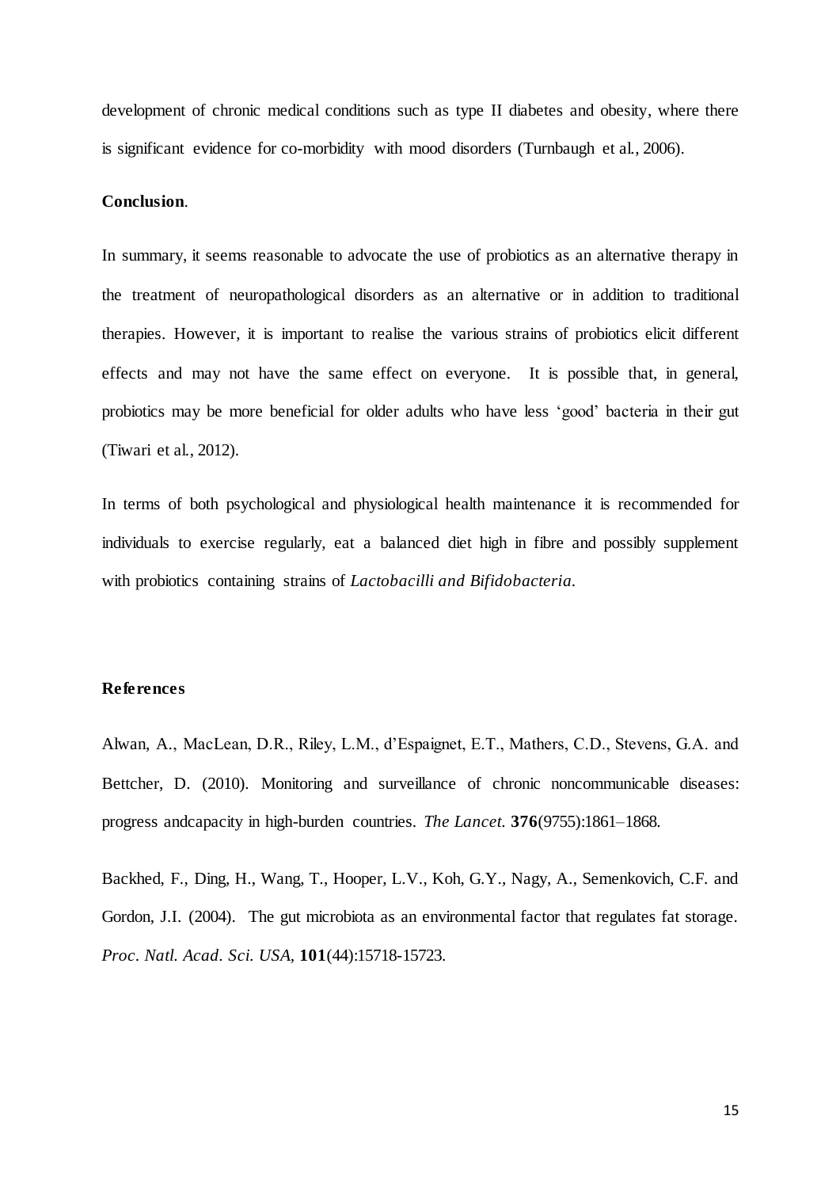development of chronic medical conditions such as type II diabetes and obesity, where there is significant evidence for co-morbidity with mood disorders (Turnbaugh et al., 2006).

#### **Conclusion**.

In summary, it seems reasonable to advocate the use of probiotics as an alternative therapy in the treatment of neuropathological disorders as an alternative or in addition to traditional therapies. However, it is important to realise the various strains of probiotics elicit different effects and may not have the same effect on everyone. It is possible that, in general, probiotics may be more beneficial for older adults who have less 'good' bacteria in their gut (Tiwari et al., 2012).

In terms of both psychological and physiological health maintenance it is recommended for individuals to exercise regularly, eat a balanced diet high in fibre and possibly supplement with probiotics containing strains of *Lactobacilli and Bifidobacteria.*

### **References**

Alwan, A., MacLean, D.R., Riley, L.M., d'Espaignet, E.T., Mathers, C.D., Stevens, G.A. and Bettcher, D. (2010). Monitoring and surveillance of chronic noncommunicable diseases: progress andcapacity in high-burden countries. *The Lancet.* **376**(9755):1861–1868.

Backhed, F., Ding, H., Wang, T., Hooper, L.V., Koh, G.Y., Nagy, A., Semenkovich, C.F. and Gordon, J.I. (2004). The gut microbiota as an environmental factor that regulates fat storage. *Proc. Natl. Acad. Sci. USA,* **101**(44):15718-15723.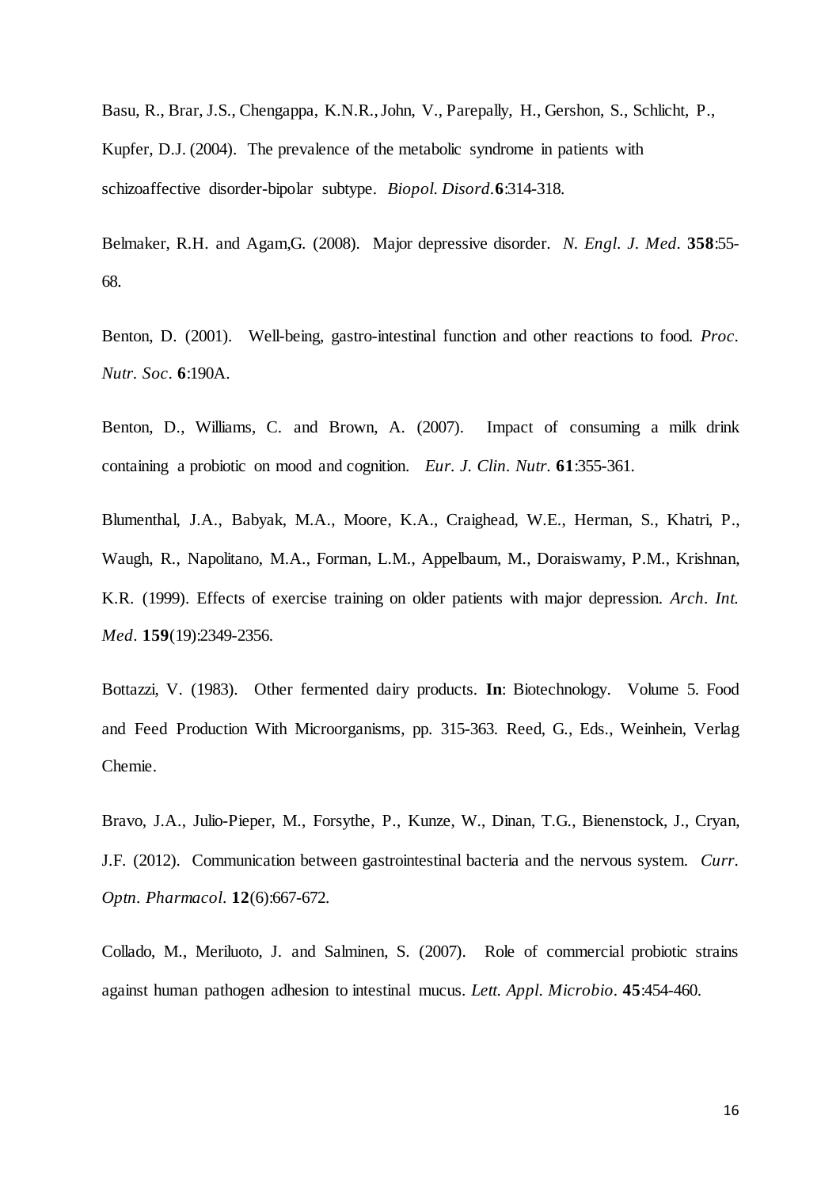Basu, R., Brar, J.S., Chengappa, K.N.R., John, V., Parepally, H., Gershon, S., Schlicht, P., Kupfer, D.J. (2004). The prevalence of the metabolic syndrome in patients with schizoaffective disorder-bipolar subtype. *Biopol. Disord.***6**:314-318.

Belmaker, R.H. and Agam,G. (2008). Major depressive disorder. *N. Engl. J. Med.* **358**:55- 68.

Benton, D. (2001). Well-being, gastro-intestinal function and other reactions to food. *Proc. Nutr. Soc*. **6**:190A.

Benton, D., Williams, C. and Brown, A. (2007). Impact of consuming a milk drink containing a probiotic on mood and cognition. *Eur. J. Clin. Nutr.* **61**:355-361.

[Blumenthal,](http://www.ncbi.nlm.nih.gov/pubmed/?term=Blumenthal%20JA%5BAuthor%5D&cauthor=true&cauthor_uid=10547175) J.A., [Babyak,](http://www.ncbi.nlm.nih.gov/pubmed/?term=Babyak%20MA%5BAuthor%5D&cauthor=true&cauthor_uid=10547175) M.A., [Moore,](http://www.ncbi.nlm.nih.gov/pubmed/?term=Moore%20KA%5BAuthor%5D&cauthor=true&cauthor_uid=10547175) K.A., [Craighead,](http://www.ncbi.nlm.nih.gov/pubmed/?term=Craighead%20WE%5BAuthor%5D&cauthor=true&cauthor_uid=10547175) W.E., [Herman,](http://www.ncbi.nlm.nih.gov/pubmed/?term=Herman%20S%5BAuthor%5D&cauthor=true&cauthor_uid=10547175) S., [Khatri,](http://www.ncbi.nlm.nih.gov/pubmed/?term=Khatri%20P%5BAuthor%5D&cauthor=true&cauthor_uid=10547175) P., [Waugh,](http://www.ncbi.nlm.nih.gov/pubmed/?term=Waugh%20R%5BAuthor%5D&cauthor=true&cauthor_uid=10547175) R., [Napolitano,](http://www.ncbi.nlm.nih.gov/pubmed/?term=Napolitano%20MA%5BAuthor%5D&cauthor=true&cauthor_uid=10547175) M.A.[, Forman,](http://www.ncbi.nlm.nih.gov/pubmed/?term=Forman%20LM%5BAuthor%5D&cauthor=true&cauthor_uid=10547175) L.M.[, Appelbaum,](http://www.ncbi.nlm.nih.gov/pubmed/?term=Appelbaum%20M%5BAuthor%5D&cauthor=true&cauthor_uid=10547175) M., [Doraiswamy,](http://www.ncbi.nlm.nih.gov/pubmed/?term=Doraiswamy%20PM%5BAuthor%5D&cauthor=true&cauthor_uid=10547175) P.M.[, Krishnan,](http://www.ncbi.nlm.nih.gov/pubmed/?term=Krishnan%20KR%5BAuthor%5D&cauthor=true&cauthor_uid=10547175) [K.R.](http://www.ncbi.nlm.nih.gov/pubmed/?term=Krishnan%20KR%5BAuthor%5D&cauthor=true&cauthor_uid=10547175) (1999). Effects of exercise training on older patients with major depression. *Arch. Int. Med*. **159**(19):2349-2356.

Bottazzi, V. (1983). Other fermented dairy products. **In**: Biotechnology. Volume 5. Food and Feed Production With Microorganisms, pp. 315-363. Reed, G., Eds., Weinhein, Verlag Chemie.

[Bravo,](http://www.ncbi.nlm.nih.gov/pubmed/?term=Bravo%20JA%5BAuthor%5D&cauthor=true&cauthor_uid=23041079) J.A., [Julio-Pieper,](http://www.ncbi.nlm.nih.gov/pubmed/?term=Julio-Pieper%20M%5BAuthor%5D&cauthor=true&cauthor_uid=23041079) M., [Forsythe,](http://www.ncbi.nlm.nih.gov/pubmed/?term=Forsythe%20P%5BAuthor%5D&cauthor=true&cauthor_uid=23041079) P.[, Kunze,](http://www.ncbi.nlm.nih.gov/pubmed/?term=Kunze%20W%5BAuthor%5D&cauthor=true&cauthor_uid=23041079) W.[, Dinan,](http://www.ncbi.nlm.nih.gov/pubmed/?term=Dinan%20TG%5BAuthor%5D&cauthor=true&cauthor_uid=23041079) T.G.[, Bienenstock,](http://www.ncbi.nlm.nih.gov/pubmed/?term=Bienenstock%20J%5BAuthor%5D&cauthor=true&cauthor_uid=23041079) J., [Cryan,](http://www.ncbi.nlm.nih.gov/pubmed/?term=Cryan%20JF%5BAuthor%5D&cauthor=true&cauthor_uid=23041079) [J.F.](http://www.ncbi.nlm.nih.gov/pubmed/?term=Cryan%20JF%5BAuthor%5D&cauthor=true&cauthor_uid=23041079) (2012). Communication between gastrointestinal bacteria and the nervous system. *Curr. Optn. Pharmacol*. **12**(6):667-672.

Collado, M., Meriluoto, J. and Salminen, S. (2007). Role of commercial probiotic strains against human pathogen adhesion to intestinal mucus. *Lett. Appl. Microbio.* **45**:454-460.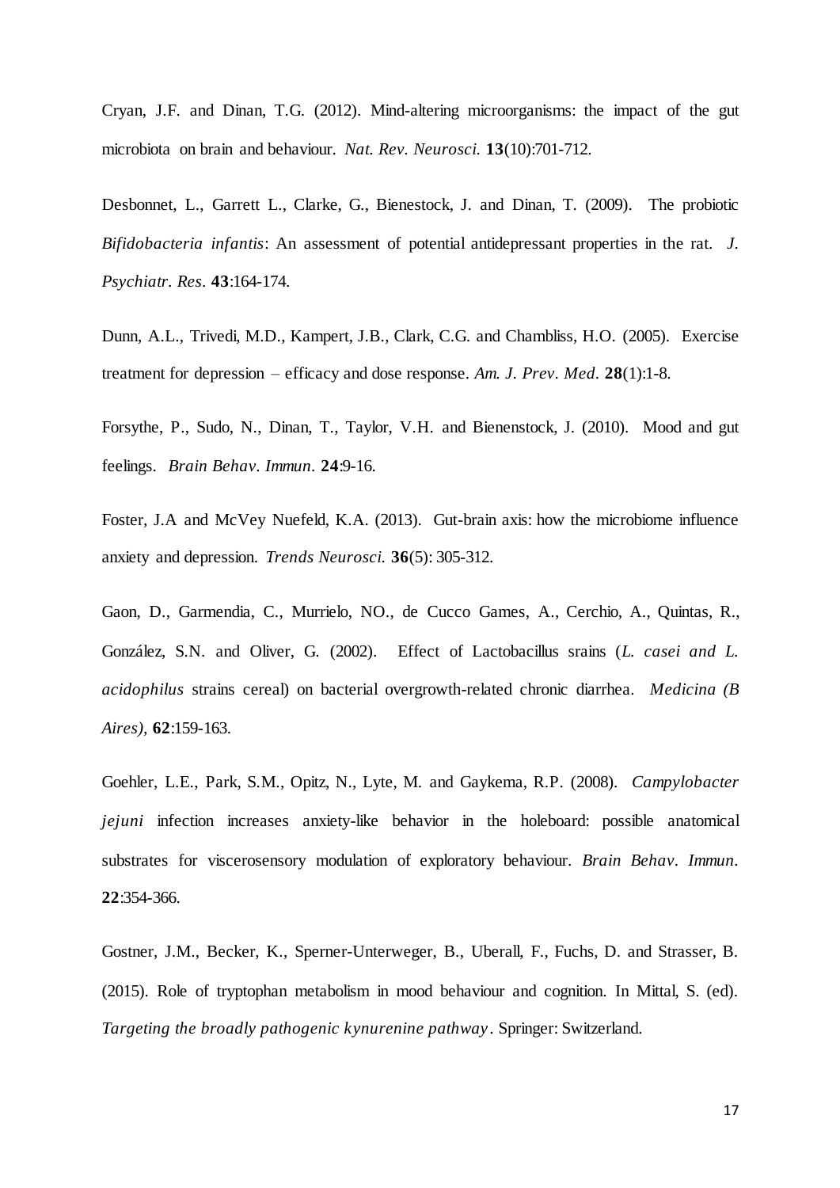Cryan, J.F. and Dinan, T.G. (2012). Mind-altering microorganisms: the impact of the gut microbiota on brain and behaviour. *Nat. Rev. Neurosci.* **13**(10):701-712.

Desbonnet, L., Garrett L., Clarke, G., Bienestock, J. and Dinan, T. (2009). The probiotic *Bifidobacteria infantis*: An assessment of potential antidepressant properties in the rat. *J. Psychiatr. Res.* **43**:164-174.

Dunn, A.L., Trivedi, M.D., Kampert, J.B., Clark, C.G. and Chambliss, H.O. (2005). Exercise treatment for depression – efficacy and dose response. *Am. J. Prev. Med.* **28**(1):1-8.

Forsythe, P., Sudo, N., Dinan, T., Taylor, V.H. and Bienenstock, J. (2010). Mood and gut feelings. *Brain Behav. Immun.* **24**:9-16.

Foster, J.A and McVey Nuefeld, K.A. (2013). Gut-brain axis: how the microbiome influence anxiety and depression. *Trends Neurosci.* **36**(5): 305-312.

Gaon, D., [Garmendia,](http://www.ncbi.nlm.nih.gov/pubmed/?term=Garmendia%20C%5BAuthor%5D&cauthor=true&cauthor_uid=12038039) C., [Murrielo,](http://www.ncbi.nlm.nih.gov/pubmed/?term=Murrielo%20NO%5BAuthor%5D&cauthor=true&cauthor_uid=12038039) NO., [de Cucco Games,](http://www.ncbi.nlm.nih.gov/pubmed/?term=de%20Cucco%20Games%20A%5BAuthor%5D&cauthor=true&cauthor_uid=12038039) A.[, Cerchio,](http://www.ncbi.nlm.nih.gov/pubmed/?term=Cerchio%20A%5BAuthor%5D&cauthor=true&cauthor_uid=12038039) A., [Quintas,](http://www.ncbi.nlm.nih.gov/pubmed/?term=Quintas%20R%5BAuthor%5D&cauthor=true&cauthor_uid=12038039) R., [González,](http://www.ncbi.nlm.nih.gov/pubmed/?term=Gonz%C3%A1lez%20SN%5BAuthor%5D&cauthor=true&cauthor_uid=12038039) S.N. and [Oliver,](http://www.ncbi.nlm.nih.gov/pubmed/?term=Oliver%20G%5BAuthor%5D&cauthor=true&cauthor_uid=12038039) G. (2002). Effect of Lactobacillus srains (*L. casei and L. acidophilus* strains cereal) on bacterial overgrowth-related chronic diarrhea. *Medicina (B Aires),* **62**:159-163.

Goehler, L.E., Park, S.M., Opitz, N., Lyte, M. and Gaykema, R.P. (2008). *Campylobacter jejuni* infection increases anxiety-like behavior in the holeboard: possible anatomical substrates for viscerosensory modulation of exploratory behaviour. *Brain Behav. Immun.* **22**:354-366.

Gostner, J.M., Becker, K., Sperner-Unterweger, B., Uberall, F., Fuchs, D. and Strasser, B. (2015). Role of tryptophan metabolism in mood behaviour and cognition. In Mittal, S. (ed). *Targeting the broadly pathogenic kynurenine pathway*. Springer: Switzerland.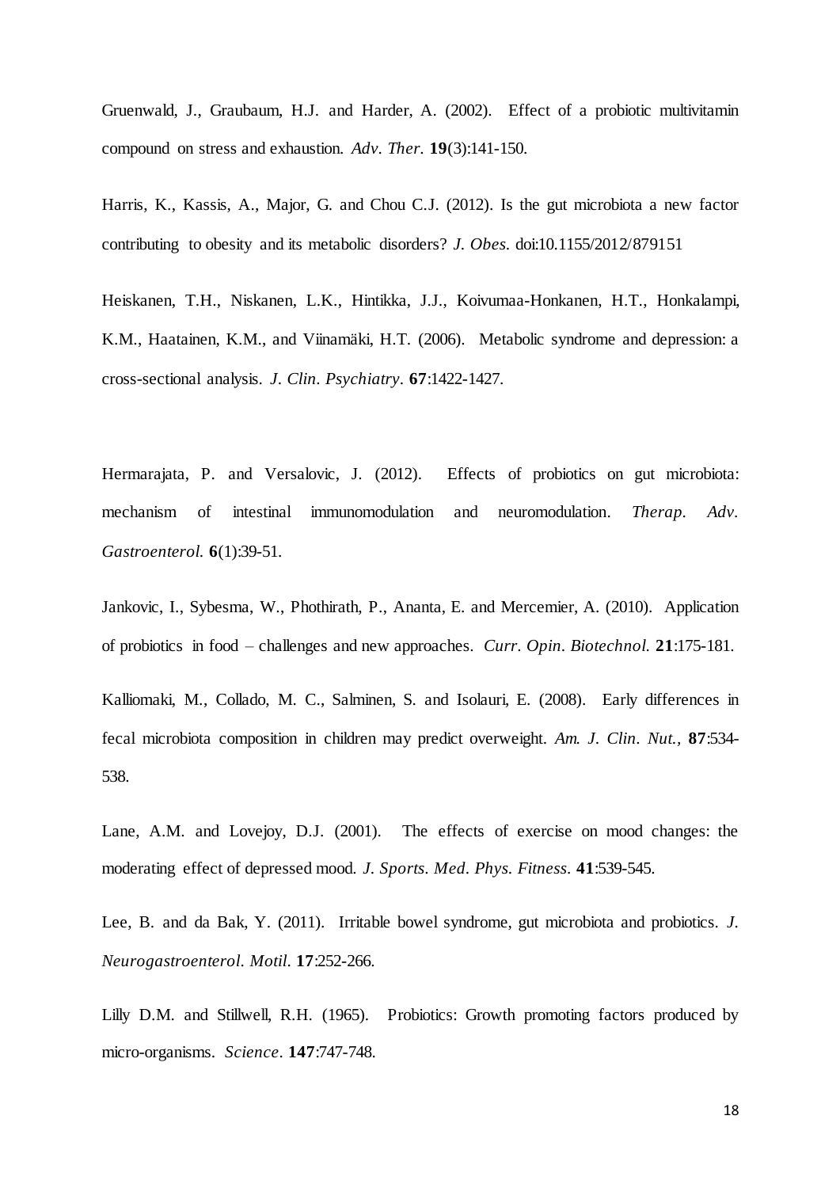Gruenwald, J., Graubaum, H.J. and Harder, A. (2002). Effect of a probiotic multivitamin compound on stress and exhaustion. *Adv. Ther.* **19**(3):141-150.

Harris, K., Kassis, A., Major, G. and Chou C.J. (2012). Is the gut microbiota a new factor contributing to obesity and its metabolic disorders? *J. Obes.* doi:10.1155/2012/879151

Heiskanen, T.H., [Niskanen,](http://www.ncbi.nlm.nih.gov/pubmed/?term=Niskanen%20LK%5BAuthor%5D&cauthor=true&cauthor_uid=17017829) L.K., [Hintikka,](http://www.ncbi.nlm.nih.gov/pubmed/?term=Hintikka%20JJ%5BAuthor%5D&cauthor=true&cauthor_uid=17017829) J.J.[, Koivumaa-Honkanen,](http://www.ncbi.nlm.nih.gov/pubmed/?term=Koivumaa-Honkanen%20HT%5BAuthor%5D&cauthor=true&cauthor_uid=17017829) H.T., [Honkalampi,](http://www.ncbi.nlm.nih.gov/pubmed/?term=Honkalampi%20KM%5BAuthor%5D&cauthor=true&cauthor_uid=17017829) [K.M.](http://www.ncbi.nlm.nih.gov/pubmed/?term=Honkalampi%20KM%5BAuthor%5D&cauthor=true&cauthor_uid=17017829), [Haatainen,](http://www.ncbi.nlm.nih.gov/pubmed/?term=Haatainen%20KM%5BAuthor%5D&cauthor=true&cauthor_uid=17017829) K.M., an[d Viinamäki,](http://www.ncbi.nlm.nih.gov/pubmed/?term=Viinam%C3%A4ki%20HT%5BAuthor%5D&cauthor=true&cauthor_uid=17017829) H.T. (2006). Metabolic syndrome and depression: a cross-sectional analysis. *J. Clin. Psychiatry.* **67**:1422-1427.

Hermarajata, P. and Versalovic, J. (2012). Effects of probiotics on gut microbiota: mechanism of intestinal immunomodulation and neuromodulation. *Therap. Adv. Gastroenterol.* **6**(1):39-51.

Jankovic, I., Sybesma, W., Phothirath, P., Ananta, E. and Mercemier, A. (2010). Application of probiotics in food – challenges and new approaches. *Curr. Opin. Biotechnol.* **21**:175-181.

Kalliomaki, M., Collado, M. C., Salminen, S. and Isolauri, E. (2008). Early differences in fecal microbiota composition in children may predict overweight. *Am. J. Clin. Nut.,* **87**:534- 538.

Lane, A.M. and Lovejoy, D.J. (2001). The effects of exercise on mood changes: the moderating effect of depressed mood. *J. Sports. Med. Phys. Fitness.* **41**:539-545.

Lee, B. and da Bak, Y. (2011). Irritable bowel syndrome, gut microbiota and probiotics. *J. Neurogastroenterol. Motil*. **17**:252-266.

Lilly D.M. and Stillwell, R.H. (1965). Probiotics: Growth promoting factors produced by micro-organisms. *Science*. **147**:747-748.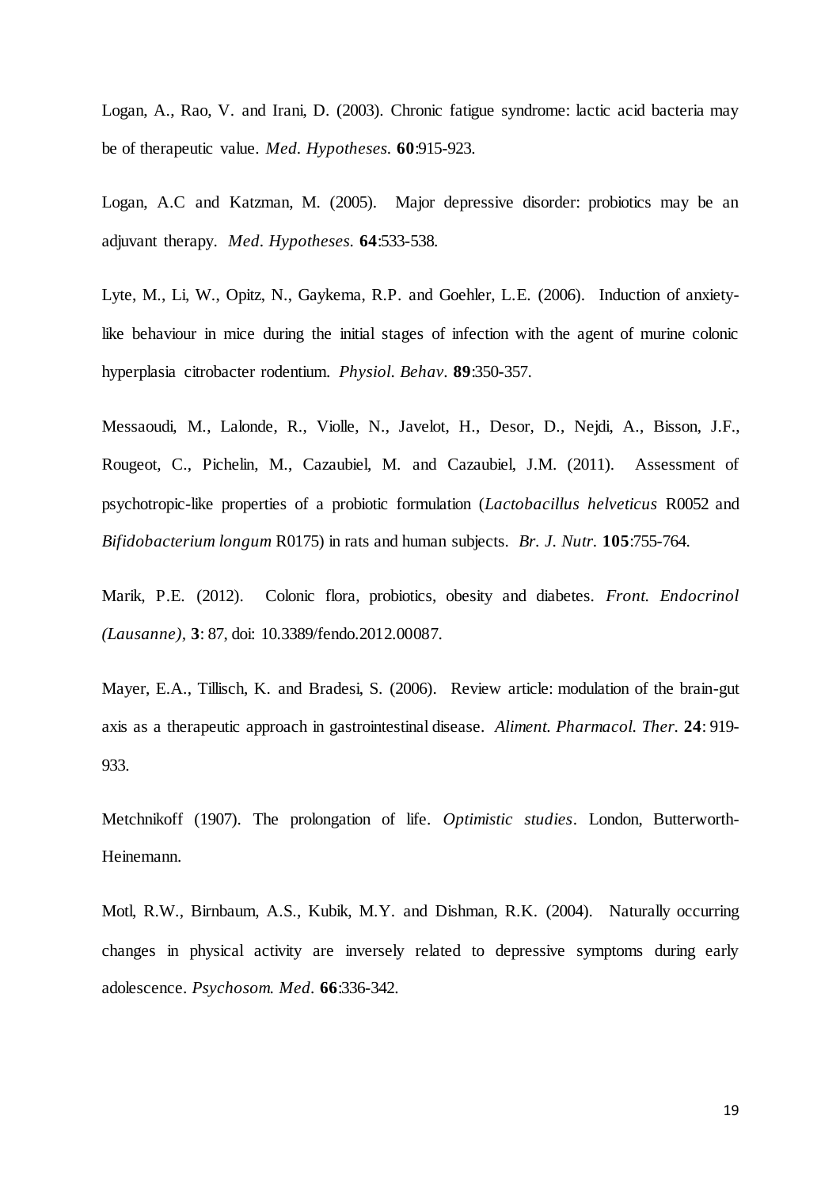Logan, A., Rao, V. and Irani, D. (2003). Chronic fatigue syndrome: lactic acid bacteria may be of therapeutic value. *Med. Hypotheses.* **60**:915-923.

Logan, A.C and Katzman, M. (2005). Major depressive disorder: probiotics may be an adjuvant therapy. *Med. Hypotheses.* **64**:533-538.

Lyte, M., Li, W., Opitz, N., Gaykema, R.P. and Goehler, L.E. (2006). Induction of anxietylike behaviour in mice during the initial stages of infection with the agent of murine colonic hyperplasia citrobacter rodentium. *Physiol. Behav.* **89**:350-357.

Messaoudi, M., [Lalonde,](http://www.ncbi.nlm.nih.gov/pubmed/?term=Lalonde%20R%5BAuthor%5D&cauthor=true&cauthor_uid=20974015) R., [Violle,](http://www.ncbi.nlm.nih.gov/pubmed/?term=Violle%20N%5BAuthor%5D&cauthor=true&cauthor_uid=20974015) N., [Javelot,](http://www.ncbi.nlm.nih.gov/pubmed/?term=Javelot%20H%5BAuthor%5D&cauthor=true&cauthor_uid=20974015) H., [Desor,](http://www.ncbi.nlm.nih.gov/pubmed/?term=Desor%20D%5BAuthor%5D&cauthor=true&cauthor_uid=20974015) D., [Nejdi,](http://www.ncbi.nlm.nih.gov/pubmed/?term=Nejdi%20A%5BAuthor%5D&cauthor=true&cauthor_uid=20974015) A., [Bisson,](http://www.ncbi.nlm.nih.gov/pubmed/?term=Bisson%20JF%5BAuthor%5D&cauthor=true&cauthor_uid=20974015) J.F., [Rougeot,](http://www.ncbi.nlm.nih.gov/pubmed/?term=Rougeot%20C%5BAuthor%5D&cauthor=true&cauthor_uid=20974015) C., [Pichelin,](http://www.ncbi.nlm.nih.gov/pubmed/?term=Pichelin%20M%5BAuthor%5D&cauthor=true&cauthor_uid=20974015) M., [Cazaubiel,](http://www.ncbi.nlm.nih.gov/pubmed/?term=Cazaubiel%20M%5BAuthor%5D&cauthor=true&cauthor_uid=20974015) M. and [Cazaubiel,](http://www.ncbi.nlm.nih.gov/pubmed/?term=Cazaubiel%20JM%5BAuthor%5D&cauthor=true&cauthor_uid=20974015) J.M. (2011). Assessment of psychotropic-like properties of a probiotic formulation (*Lactobacillus helveticus* R0052 and *Bifidobacterium longum* R0175) in rats and human subjects. *Br. J. Nutr.* **105**:755-764.

Marik, P.E. (2012). Colonic flora, probiotics, obesity and diabetes. *Front. Endocrinol (Lausanne),* **3**: 87, doi: 10.3389/fendo.2012.00087.

Mayer, E.A., Tillisch, K. and Bradesi, S. (2006). Review article: modulation of the brain-gut axis as a therapeutic approach in gastrointestinal disease. *Aliment. Pharmacol. Ther.* **24**: 919- 933.

Metchnikoff (1907). The prolongation of life. *Optimistic studies*. London, Butterworth-Heinemann.

Motl, R.W., Birnbaum, A.S., Kubik, M.Y. and Dishman, R.K. (2004). Naturally occurring changes in physical activity are inversely related to depressive symptoms during early adolescence. *Psychosom. Med.* **66**:336-342.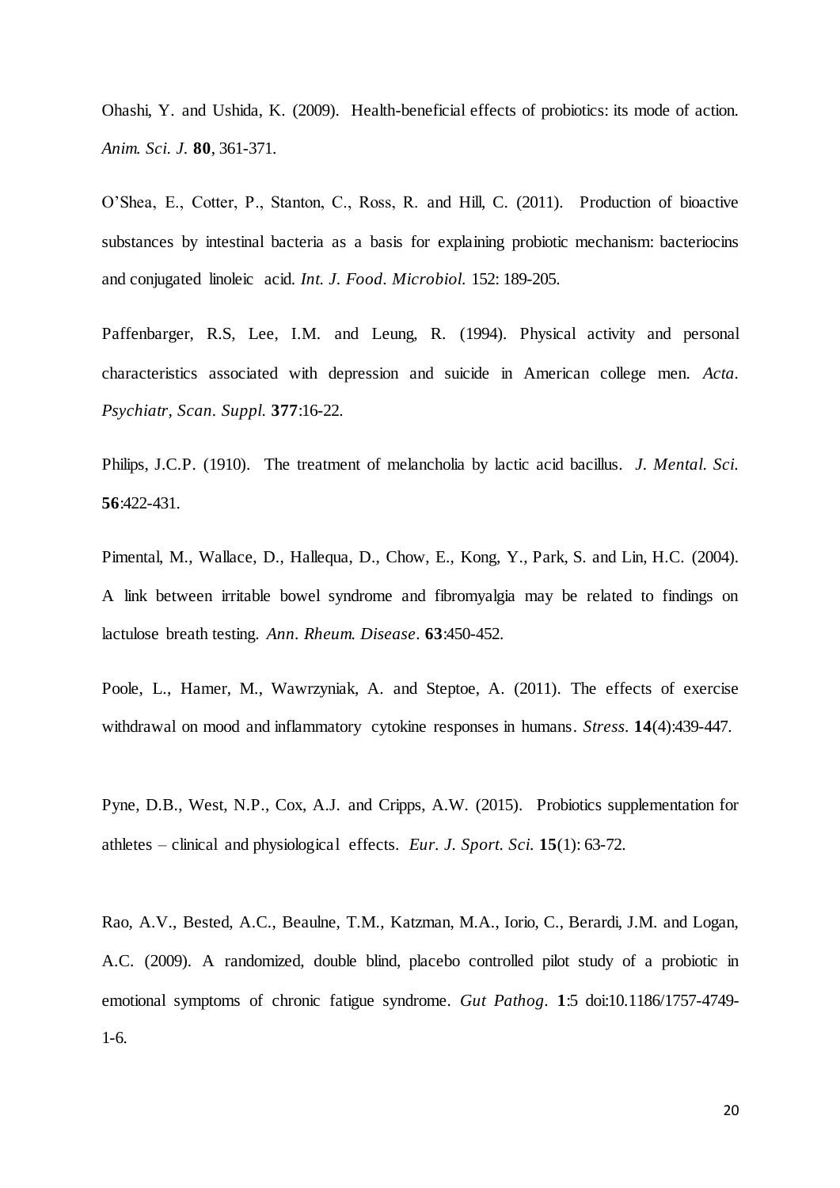Ohashi, Y. and Ushida, K. (2009). Health-beneficial effects of probiotics: its mode of action. *Anim. Sci. J.* **80**, 361-371.

O'Shea, E., Cotter, P., Stanton, C., Ross, R. and Hill, C. (2011). Production of bioactive substances by intestinal bacteria as a basis for explaining probiotic mechanism: bacteriocins and conjugated linoleic acid. *Int. J. Food. Microbiol.* 152: 189-205.

Paffenbarger, R.S, Lee, I.M. and Leung, R. (1994). Physical activity and personal characteristics associated with depression and suicide in American college men. *Acta. Psychiatr, Scan. Suppl.* **377**:16-22.

Philips, J.C.P. (1910). The treatment of melancholia by lactic acid bacillus. *J. Mental. Sci.* **56**:422-431.

Pimental, M., Wallace, D., Hallequa, D., Chow, E., Kong, Y., Park, S. and Lin, H.C. (2004). A link between irritable bowel syndrome and fibromyalgia may be related to findings on lactulose breath testing. *Ann. Rheum. Disease*. **63**:450-452.

Poole, L., Hamer, M., Wawrzyniak, A. and Steptoe, A. (2011). The effects of exercise withdrawal on mood and inflammatory cytokine responses in humans. *Stress.* **14**(4):439-447.

Pyne, D.B., West, N.P., Cox, A.J. and Cripps, A.W. (2015). Probiotics supplementation for athletes – clinical and physiological effects. *Eur. J. Sport. Sci.* **15**(1): 63-72.

Rao, A.V., Bested, A.C., Beaulne, T.M., Katzman, M.A., Iorio, C., Berardi, J.M. and Logan, A.C. (2009). A randomized, double blind, placebo controlled pilot study of a probiotic in emotional symptoms of chronic fatigue syndrome. *Gut Pathog.* **1**:5 doi:10.1186/1757-4749- 1-6.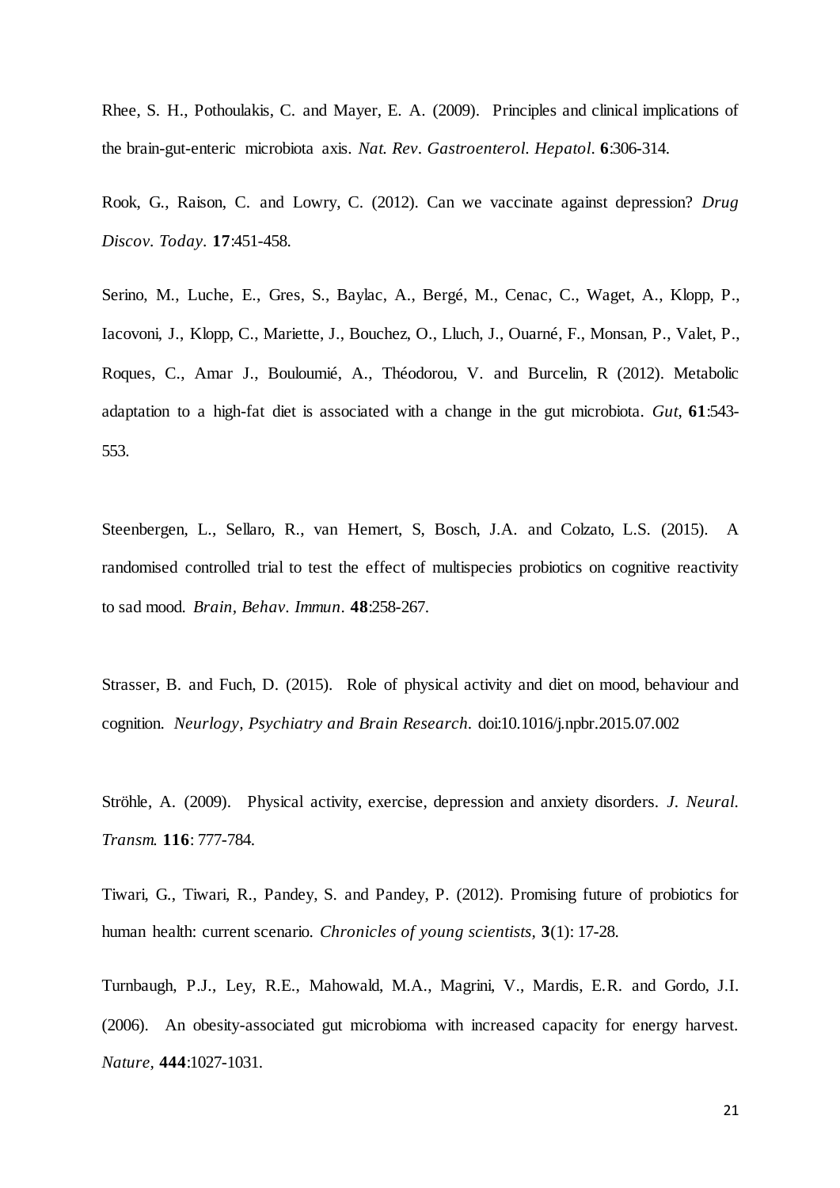Rhee, S. H., Pothoulakis, C. and Mayer, E. A. (2009). Principles and clinical implications of the brain-gut-enteric microbiota axis. *Nat. Rev. Gastroenterol. Hepatol*. **6**:306-314.

Rook, G., Raison, C. and Lowry, C. (2012). Can we vaccinate against depression? *Drug Discov. Today.* **17**:451-458.

[Serino,](http://f1000.com/prime/search/evaluatedpubmed?query=Serino+M&queryField=exactAuthor&filterBy=EVALUATED_ARTICLES) M., [Luche,](http://f1000.com/prime/search/evaluatedpubmed?query=Luche+E&queryField=exactAuthor&filterBy=EVALUATED_ARTICLES) E., [Gres,](http://f1000.com/prime/search/evaluatedpubmed?query=Gres+S&queryField=exactAuthor&filterBy=EVALUATED_ARTICLES) S., [Baylac,](http://f1000.com/prime/search/evaluatedpubmed?query=Baylac+A&queryField=exactAuthor&filterBy=EVALUATED_ARTICLES) A., [Bergé,](http://f1000.com/prime/search/evaluatedpubmed?query=Bergé+M&queryField=exactAuthor&filterBy=EVALUATED_ARTICLES) M., [Cenac,](http://f1000.com/prime/search/evaluatedpubmed?query=Cenac+C&queryField=exactAuthor&filterBy=EVALUATED_ARTICLES) C., [Waget,](http://f1000.com/prime/search/evaluatedpubmed?query=Waget+A&queryField=exactAuthor&filterBy=EVALUATED_ARTICLES) A.[, Klopp,](http://f1000.com/prime/search/evaluatedpubmed?query=Klopp+P&queryField=exactAuthor&filterBy=EVALUATED_ARTICLES) P., [Iacovoni,](http://f1000.com/prime/search/evaluatedpubmed?query=Iacovoni+J&queryField=exactAuthor&filterBy=EVALUATED_ARTICLES) J., [Klopp,](http://f1000.com/prime/search/evaluatedpubmed?query=Klopp+C&queryField=exactAuthor&filterBy=EVALUATED_ARTICLES) C., [Mariette,](http://f1000.com/prime/search/evaluatedpubmed?query=Mariette+J&queryField=exactAuthor&filterBy=EVALUATED_ARTICLES) J., [Bouchez,](http://f1000.com/prime/search/evaluatedpubmed?query=Bouchez+O&queryField=exactAuthor&filterBy=EVALUATED_ARTICLES) O., [Lluch,](http://f1000.com/prime/search/evaluatedpubmed?query=Lluch+J&queryField=exactAuthor&filterBy=EVALUATED_ARTICLES) J., [Ouarné,](http://f1000.com/prime/search/evaluatedpubmed?query=Ouarné+F&queryField=exactAuthor&filterBy=EVALUATED_ARTICLES) F., [Monsan,](http://f1000.com/prime/search/evaluatedpubmed?query=Monsan+P&queryField=exactAuthor&filterBy=EVALUATED_ARTICLES) P., [Valet,](http://f1000.com/prime/search/evaluatedpubmed?query=Valet+P&queryField=exactAuthor&filterBy=EVALUATED_ARTICLES) P., [Roques,](http://f1000.com/prime/search/evaluatedpubmed?query=Roques+C&queryField=exactAuthor&filterBy=EVALUATED_ARTICLES) C., [Amar J](http://f1000.com/prime/search/evaluatedpubmed?query=Amar+J&queryField=exactAuthor&filterBy=EVALUATED_ARTICLES)., [Bouloumié,](http://f1000.com/prime/search/evaluatedpubmed?query=Bouloumié+A&queryField=exactAuthor&filterBy=EVALUATED_ARTICLES) A., [Théodorou,](http://f1000.com/prime/search/evaluatedpubmed?query=Théodorou+V&queryField=exactAuthor&filterBy=EVALUATED_ARTICLES) V. and [Burcelin,](http://f1000.com/prime/search/evaluatedpubmed?query=Burcelin+R&queryField=exactAuthor&filterBy=EVALUATED_ARTICLES) R (2012). Metabolic adaptation to a high-fat diet is associated with a change in the gut microbiota. *Gut*, **61**:543- 553.

Steenbergen, L., Sellaro, R., van Hemert, S, Bosch, J.A. and Colzato, L.S. (2015). A randomised controlled trial to test the effect of multispecies probiotics on cognitive reactivity to sad mood. *Brain, Behav. Immun.* **48**:258-267.

Strasser, B. and Fuch, D. (2015). Role of physical activity and diet on mood, behaviour and cognition. *Neurlogy, Psychiatry and Brain Research.* doi:10.1016/j.npbr.2015.07.002

Ströhle, A. (2009). Physical activity, exercise, depression and anxiety disorders. *J. Neural. Transm.* **116**: 777-784.

Tiwari, G., Tiwari, R., Pandey, S. and Pandey, P. (2012). Promising future of probiotics for human health: current scenario. *Chronicles of young scientists,* **3**(1): 17-28.

Turnbaugh, P.J., Ley, R.E., Mahowald, M.A., Magrini, V., Mardis, E.R. and Gordo, J.I. (2006). An obesity-associated gut microbioma with increased capacity for energy harvest. *Nature,* **444**:1027-1031.